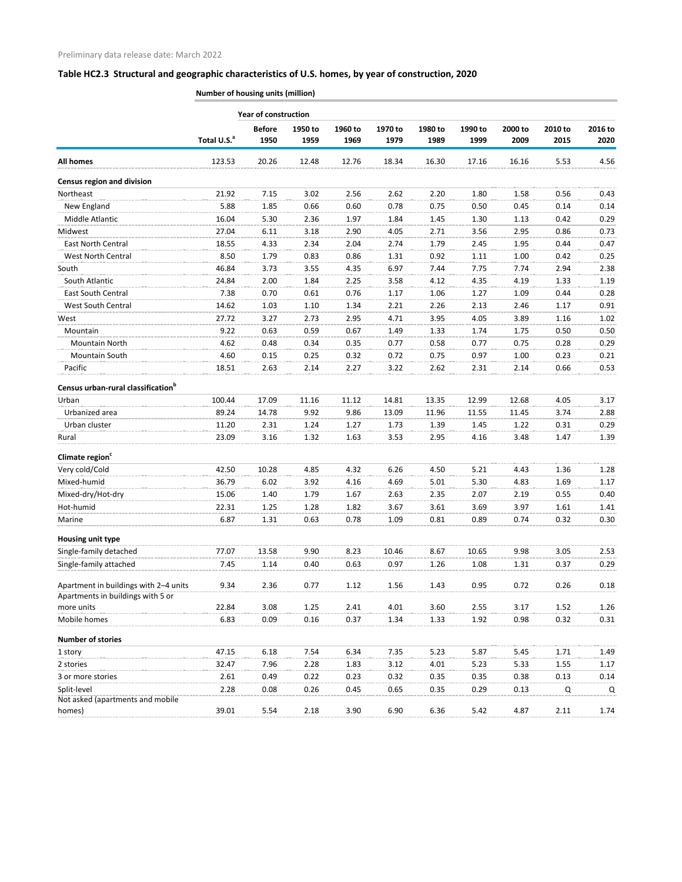**Number of housing units (million)**

|                                                 | <b>Year of construction</b> |               |         |         |         |         |         |         |         |         |
|-------------------------------------------------|-----------------------------|---------------|---------|---------|---------|---------|---------|---------|---------|---------|
|                                                 |                             | <b>Before</b> | 1950 to | 1960 to | 1970 to | 1980 to | 1990 to | 2000 to | 2010 to | 2016 to |
|                                                 | Total U.S. <sup>a</sup>     | 1950          | 1959    | 1969    | 1979    | 1989    | 1999    | 2009    | 2015    | 2020    |
| <b>All homes</b>                                | 123.53                      | 20.26         | 12.48   | 12.76   | 18.34   | 16.30   | 17.16   | 16.16   | 5.53    | 4.56    |
| <b>Census region and division</b>               |                             |               |         |         |         |         |         |         |         |         |
| Northeast                                       | 21.92                       | 7.15          | 3.02    | 2.56    | 2.62    | 2.20    | 1.80    | 1.58    | 0.56    | 0.43    |
| New England                                     | 5.88                        | 1.85          | 0.66    | 0.60    | 0.78    | 0.75    | 0.50    | 0.45    | 0.14    | 0.14    |
| Middle Atlantic                                 | 16.04                       | 5.30          | 2.36    | 1.97    | 1.84    | 1.45    | 1.30    | 1.13    | 0.42    | 0.29    |
| Midwest                                         | 27.04                       | 6.11          | 3.18    | 2.90    | 4.05    | 2.71    | 3.56    | 2.95    | 0.86    | 0.73    |
| <b>East North Central</b>                       | 18.55                       | 4.33          | 2.34    | 2.04    | 2.74    | 1.79    | 2.45    | 1.95    | 0.44    | 0.47    |
| <b>West North Central</b>                       | 8.50                        | 1.79          | 0.83    | 0.86    | 1.31    | 0.92    | 1.11    | 1.00    | 0.42    | 0.25    |
| South                                           | 46.84                       | 3.73          | 3.55    | 4.35    | 6.97    | 7.44    | 7.75    | 7.74    | 2.94    | 2.38    |
| South Atlantic                                  | 24.84                       | 2.00          | 1.84    | 2.25    | 3.58    | 4.12    | 4.35    | 4.19    | 1.33    | 1.19    |
| <b>East South Central</b>                       | 7.38                        | 0.70          | 0.61    | 0.76    | 1.17    | 1.06    | 1.27    | 1.09    | 0.44    | 0.28    |
| <b>West South Central</b>                       | 14.62                       | 1.03          | 1.10    | 1.34    | 2.21    | 2.26    | 2.13    | 2.46    | 1.17    | 0.91    |
| West                                            | 27.72                       | 3.27          | 2.73    | 2.95    | 4.71    | 3.95    | 4.05    | 3.89    | 1.16    | 1.02    |
| Mountain                                        | 9.22                        | 0.63          | 0.59    | 0.67    | 1.49    | 1.33    | 1.74    | 1.75    | 0.50    | 0.50    |
| <b>Mountain North</b>                           | 4.62                        | 0.48          | 0.34    | 0.35    | 0.77    | 0.58    | 0.77    | 0.75    | 0.28    | 0.29    |
| <b>Mountain South</b>                           | 4.60                        | 0.15          | 0.25    | 0.32    | 0.72    | 0.75    | 0.97    | 1.00    | 0.23    | 0.21    |
| Pacific                                         | 18.51                       | 2.63          | 2.14    | 2.27    | 3.22    | 2.62    | 2.31    | 2.14    | 0.66    | 0.53    |
| Census urban-rural classification <sup>b</sup>  |                             |               |         |         |         |         |         |         |         |         |
| Urban                                           | 100.44                      | 17.09         | 11.16   | 11.12   | 14.81   | 13.35   | 12.99   | 12.68   | 4.05    | 3.17    |
| Urbanized area                                  | 89.24                       | 14.78         | 9.92    | 9.86    | 13.09   | 11.96   | 11.55   | 11.45   | 3.74    | 2.88    |
| Urban cluster                                   | 11.20                       | 2.31          | 1.24    | 1.27    | 1.73    | 1.39    | 1.45    | 1.22    | 0.31    | 0.29    |
| Rural                                           | 23.09                       | 3.16          | 1.32    | 1.63    | 3.53    | 2.95    | 4.16    | 3.48    | 1.47    | 1.39    |
|                                                 |                             |               |         |         |         |         |         |         |         |         |
| Climate region <sup>c</sup>                     |                             |               |         |         |         |         |         |         |         |         |
| Very cold/Cold                                  | 42.50                       | 10.28         | 4.85    | 4.32    | 6.26    | 4.50    | 5.21    | 4.43    | 1.36    | 1.28    |
| Mixed-humid                                     | 36.79                       | 6.02          | 3.92    | 4.16    | 4.69    | 5.01    | 5.30    | 4.83    | 1.69    | 1.17    |
| Mixed-dry/Hot-dry                               | 15.06                       | 1.40          | 1.79    | 1.67    | 2.63    | 2.35    | 2.07    | 2.19    | 0.55    | 0.40    |
| Hot-humid                                       | 22.31                       | 1.25          | 1.28    | 1.82    | 3.67    | 3.61    | 3.69    | 3.97    | 1.61    | 1.41    |
| Marine                                          | 6.87                        | 1.31          | 0.63    | 0.78    | 1.09    | 0.81    | 0.89    | 0.74    | 0.32    | 0.30    |
| Housing unit type                               |                             |               |         |         |         |         |         |         |         |         |
| Single-family detached                          | 77.07                       | 13.58         | 9.90    | 8.23    | 10.46   | 8.67    | 10.65   | 9.98    | 3.05    | 2.53    |
| Single-family attached                          | 7.45                        | 1.14          | 0.40    | 0.63    | 0.97    | 1.26    | 1.08    | 1.31    | 0.37    | 0.29    |
| Apartment in buildings with 2-4 units           | 9.34                        | 2.36          | 0.77    | 1.12    | 1.56    | 1.43    | 0.95    | 0.72    | 0.26    | 0.18    |
| Apartments in buildings with 5 or<br>more units | 22.84                       | 3.08          | 1.25    | 2.41    | 4.01    | 3.60    | 2.55    | 3.17    | 1.52    | 1.26    |
|                                                 | 6.83                        | 0.09          | 0.16    | 0.37    | 1.34    | 1.33    | 1.92    | 0.98    | 0.32    |         |
| Mobile homes                                    |                             |               |         |         |         |         |         |         |         | 0.31    |
| <b>Number of stories</b>                        |                             |               |         |         |         |         |         |         |         |         |
| 1 story                                         | 47.15                       | 6.18          | 7.54    | 6.34    | 7.35    | 5.23    | 5.87    | 5.45    | 1.71    | 1.49    |
| 2 stories                                       | 32.47                       | 7.96          | 2.28    | 1.83    | 3.12    | 4.01    | 5.23    | 5.33    | 1.55    | 1.17    |
| 3 or more stories                               | 2.61                        | 0.49          | 0.22    | 0.23    | 0.32    | 0.35    | 0.35    | 0.38    | 0.13    | 0.14    |
| Split-level<br>Not asked (apartments and mobile | 2.28                        | 0.08          | 0.26    | 0.45    | 0.65    | 0.35    | 0.29    | 0.13    | Q       | Q       |
| homes)                                          | 39.01                       | 5.54          | 2.18    | 3.90    | 6.90    | 6.36    | 5.42    | 4.87    | 2.11    | 1.74    |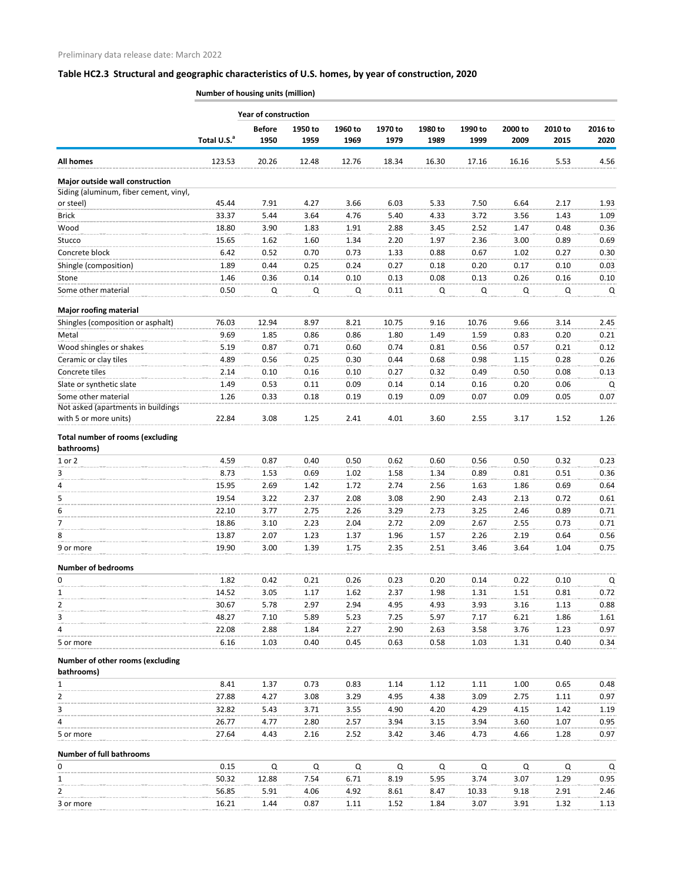**Number of housing units (million)**

|                                                             | <b>Year of construction</b> |                       |                 |                 |                 |                 |                 |                 |                 |                 |
|-------------------------------------------------------------|-----------------------------|-----------------------|-----------------|-----------------|-----------------|-----------------|-----------------|-----------------|-----------------|-----------------|
|                                                             | Total U.S. <sup>a</sup>     | <b>Before</b><br>1950 | 1950 to<br>1959 | 1960 to<br>1969 | 1970 to<br>1979 | 1980 to<br>1989 | 1990 to<br>1999 | 2000 to<br>2009 | 2010 to<br>2015 | 2016 to<br>2020 |
| <b>All homes</b>                                            | 123.53                      | 20.26                 | 12.48           | 12.76           | 18.34           | 16.30           | 17.16           | 16.16           | 5.53            | 4.56            |
| Major outside wall construction                             |                             |                       |                 |                 |                 |                 |                 |                 |                 |                 |
| Siding (aluminum, fiber cement, vinyl,                      |                             |                       |                 |                 |                 |                 |                 |                 |                 |                 |
| or steel)                                                   | 45.44                       | 7.91                  | 4.27            | 3.66            | 6.03            | 5.33            | 7.50            | 6.64            | 2.17            | 1.93            |
| <b>Brick</b>                                                | 33.37                       | 5.44                  | 3.64            | 4.76            | 5.40            | 4.33            | 3.72            | 3.56            | 1.43            | 1.09            |
| Wood                                                        | 18.80                       | 3.90                  | 1.83            | 1.91            | 2.88            | 3.45            | 2.52            | 1.47            | 0.48            | 0.36            |
| Stucco                                                      | 15.65                       | 1.62                  | 1.60            | 1.34            | 2.20            | 1.97            | 2.36            | 3.00            | 0.89            | 0.69            |
| Concrete block                                              | 6.42                        | 0.52                  | 0.70            | 0.73            | 1.33            | 0.88            | 0.67            | 1.02            | 0.27            | 0.30            |
| Shingle (composition)                                       | 1.89                        | 0.44                  | 0.25            | 0.24            | 0.27            | 0.18            | 0.20            | 0.17            | 0.10            | 0.03            |
| Stone                                                       | 1.46                        | 0.36                  | 0.14            | 0.10            | 0.13            | 0.08            | 0.13            | 0.26            | 0.16            | 0.10            |
| Some other material                                         | 0.50                        | Q                     | Q               | Q               | 0.11            | Q               | Q               | Q               | Q               | Q               |
| <b>Major roofing material</b>                               |                             |                       |                 |                 |                 |                 |                 |                 |                 |                 |
| Shingles (composition or asphalt)                           | 76.03                       | 12.94                 | 8.97            | 8.21            | 10.75           | 9.16            | 10.76           | 9.66            | 3.14            | 2.45            |
| Metal                                                       | 9.69                        | 1.85                  | 0.86            | 0.86            | 1.80            | 1.49            | 1.59            | 0.83            | 0.20            | 0.21            |
| Wood shingles or shakes                                     | 5.19                        | 0.87                  | 0.71            | 0.60            | 0.74            | 0.81            | 0.56            | 0.57            | 0.21            | 0.12            |
| Ceramic or clay tiles                                       | 4.89                        | 0.56                  | 0.25            | 0.30            | 0.44            | 0.68            | 0.98            | 1.15            | 0.28            | 0.26            |
| Concrete tiles                                              | 2.14                        | 0.10                  | 0.16            | 0.10            | 0.27            | 0.32            | 0.49            | 0.50            | 0.08            | 0.13            |
| Slate or synthetic slate                                    | 1.49                        | 0.53                  | 0.11            | 0.09            | 0.14            | 0.14            | 0.16            | 0.20            | 0.06            | Q               |
| Some other material                                         | 1.26                        | 0.33                  | 0.18            | 0.19            | 0.19            | 0.09            | 0.07            | 0.09            | 0.05            | 0.07            |
| Not asked (apartments in buildings<br>with 5 or more units) | 22.84                       | 3.08                  | 1.25            | 2.41            | 4.01            | 3.60            | 2.55            | 3.17            | 1.52            | 1.26            |
| <b>Total number of rooms (excluding</b><br>bathrooms)       |                             |                       |                 |                 |                 |                 |                 |                 |                 |                 |
| 1 or 2                                                      | 4.59                        | 0.87                  | 0.40            | 0.50            | 0.62            | 0.60            | 0.56            | 0.50            | 0.32            | 0.23            |
| 3                                                           | 8.73                        | 1.53                  | 0.69            | 1.02            | 1.58            | 1.34            | 0.89            | 0.81            | 0.51            | 0.36            |
| 4                                                           | 15.95                       | 2.69                  | 1.42            | 1.72            | 2.74            | 2.56            | 1.63            | 1.86            | 0.69            | 0.64            |
| 5                                                           | 19.54                       | 3.22                  | 2.37            | 2.08            | 3.08            | 2.90            | 2.43            | 2.13            | 0.72            | 0.61            |
| 6                                                           | 22.10                       | 3.77                  | 2.75            | 2.26            | 3.29            | 2.73            | 3.25            | 2.46            | 0.89            | 0.71            |
| 7                                                           | 18.86                       | 3.10                  | 2.23            | 2.04            | 2.72            | 2.09            | 2.67            | 2.55            | 0.73            | 0.71            |
| 8                                                           | 13.87                       | 2.07                  | 1.23            | 1.37            | 1.96            | 1.57            | 2.26            | 2.19            | 0.64            | 0.56            |
| 9 or more                                                   | 19.90                       | 3.00                  | 1.39            | 1.75            | 2.35            | 2.51            | 3.46            | 3.64            | 1.04            | 0.75            |
| <b>Number of bedrooms</b>                                   |                             |                       |                 |                 |                 |                 |                 |                 |                 |                 |
| 0                                                           | 1.82                        | 0.42                  | 0.21            | 0.26            | 0.23            | 0.20            | 0.14            | 0.22            | 0.10            | Q               |
| 1                                                           | 14.52                       | 3.05                  | 1.17            | 1.62            | 2.37            | 1.98            | 1.31            | 1.51            | 0.81            | 0.72            |
| 2                                                           | 30.67                       | 5.78                  | 2.97            | 2.94            | 4.95            | 4.93            | 3.93            | 3.16            | 1.13            | 0.88            |
| 3                                                           | 48.27                       | 7.10                  | 5.89            | 5.23            | 7.25            | 5.97            | 7.17            | 6.21            | 1.86            | 1.61            |
| 4                                                           | 22.08                       | 2.88                  | 1.84            | 2.27            | 2.90            | 2.63            | 3.58            | 3.76            | 1.23            | 0.97            |
| 5 or more                                                   | 6.16                        | 1.03                  | 0.40            | 0.45            | 0.63            | 0.58            | 1.03            | 1.31            | 0.40            | 0.34            |
| Number of other rooms (excluding                            |                             |                       |                 |                 |                 |                 |                 |                 |                 |                 |
| bathrooms)                                                  |                             |                       |                 |                 |                 |                 |                 |                 |                 |                 |
| 1                                                           | 8.41                        | 1.37                  | 0.73            | 0.83            | 1.14            | 1.12            | 1.11            | 1.00            | 0.65            | 0.48            |
| 2                                                           | 27.88                       | 4.27                  | 3.08            | 3.29            | 4.95            | 4.38            | 3.09            | 2.75            | 1.11            | 0.97            |
| 3                                                           | 32.82                       | 5.43                  | 3.71            | 3.55            | 4.90            | 4.20            | 4.29            | 4.15            | 1.42            | 1.19            |
| 4                                                           | 26.77                       | 4.77                  | 2.80            | 2.57            | 3.94            | 3.15            | 3.94            | 3.60            | 1.07            | 0.95            |
| 5 or more                                                   | 27.64                       | 4.43                  | 2.16            | 2.52            | 3.42            | 3.46            | 4.73            | 4.66            | 1.28            | 0.97            |
| <b>Number of full bathrooms</b>                             |                             |                       |                 |                 |                 |                 |                 |                 |                 |                 |
| 0                                                           | 0.15                        | Q                     | Q               | Q               | Q               | Q               | Q               | Q               | Q               | Q               |
| 1                                                           | 50.32                       | 12.88                 | 7.54            | 6.71            | 8.19            | 5.95            | 3.74            | 3.07            | 1.29            | 0.95            |
| 2                                                           | 56.85                       | 5.91                  | 4.06            | 4.92            | 8.61            | 8.47            | 10.33           | 9.18            | 2.91            | 2.46            |
| 3 or more                                                   | 16.21                       | 1.44                  | 0.87            | 1.11            | 1.52            | 1.84            | 3.07            | 3.91            | 1.32            | 1.13            |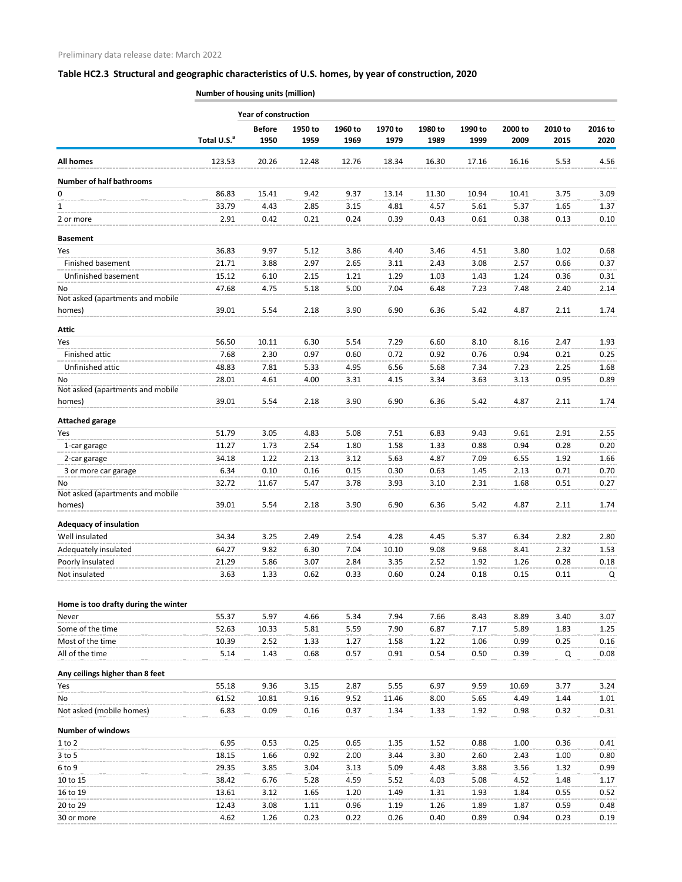|                                         |                         | <b>Year of construction</b> |                 |                 |                 |                 |                 |                 |                 |                 |
|-----------------------------------------|-------------------------|-----------------------------|-----------------|-----------------|-----------------|-----------------|-----------------|-----------------|-----------------|-----------------|
|                                         | Total U.S. <sup>a</sup> | <b>Before</b><br>1950       | 1950 to<br>1959 | 1960 to<br>1969 | 1970 to<br>1979 | 1980 to<br>1989 | 1990 to<br>1999 | 2000 to<br>2009 | 2010 to<br>2015 | 2016 to<br>2020 |
| <b>All homes</b>                        | 123.53                  | 20.26                       | 12.48           | 12.76           | 18.34           | 16.30           | 17.16           | 16.16           | 5.53            | 4.56            |
| <b>Number of half bathrooms</b>         |                         |                             |                 |                 |                 |                 |                 |                 |                 |                 |
| 0                                       | 86.83                   | 15.41                       | 9.42            | 9.37            | 13.14           | 11.30           | 10.94           | 10.41           | 3.75            | 3.09            |
| 1                                       | 33.79                   | 4.43                        | 2.85            | 3.15            | 4.81            | 4.57            | 5.61            | 5.37            | 1.65            | 1.37            |
| 2 or more                               | 2.91                    | 0.42                        | 0.21            | 0.24            | 0.39            | 0.43            | 0.61            | 0.38            | 0.13            | 0.10            |
| <b>Basement</b>                         |                         |                             |                 |                 |                 |                 |                 |                 |                 |                 |
| Yes                                     | 36.83                   | 9.97                        | 5.12            | 3.86            | 4.40            | 3.46            | 4.51            | 3.80            | 1.02            | 0.68            |
| Finished basement                       | 21.71                   | 3.88                        | 2.97            | 2.65            | 3.11            | 2.43            | 3.08            | 2.57            | 0.66            | 0.37            |
| Unfinished basement                     | 15.12                   | 6.10                        | 2.15            | 1.21            | 1.29            | 1.03            | 1.43            | 1.24            | 0.36            | 0.31            |
| No                                      | 47.68                   | 4.75                        | 5.18            | 5.00            | 7.04            | 6.48            | 7.23            | 7.48            | 2.40            | 2.14            |
| Not asked (apartments and mobile        |                         |                             |                 |                 |                 |                 |                 |                 |                 |                 |
| homes)                                  | 39.01                   | 5.54                        | 2.18            | 3.90            | 6.90            | 6.36            | 5.42            | 4.87            | 2.11            | 1.74            |
| Attic                                   |                         |                             |                 |                 |                 |                 |                 |                 |                 |                 |
| Yes                                     | 56.50                   | 10.11                       | 6.30            | 5.54            | 7.29            | 6.60            | 8.10            | 8.16            | 2.47            | 1.93            |
| Finished attic                          | 7.68                    | 2.30                        | 0.97            | 0.60            | 0.72            | 0.92            | 0.76            | 0.94            | 0.21            | 0.25            |
| Unfinished attic                        | 48.83                   | 7.81                        | 5.33            | 4.95            | 6.56            | 5.68            | 7.34            | 7.23            | 2.25            | 1.68            |
| No                                      | 28.01                   | 4.61                        | 4.00            | 3.31            | 4.15            | 3.34            | 3.63            | 3.13            | 0.95            | 0.89            |
| Not asked (apartments and mobile        |                         |                             |                 |                 |                 |                 |                 |                 |                 |                 |
| homes)                                  | 39.01                   | 5.54                        | 2.18            | 3.90            | 6.90            | 6.36            | 5.42            | 4.87            | 2.11            | 1.74            |
| <b>Attached garage</b>                  |                         |                             |                 |                 |                 |                 |                 |                 |                 |                 |
| Yes                                     | 51.79                   | 3.05                        | 4.83            | 5.08            | 7.51            | 6.83            | 9.43            | 9.61            | 2.91            | 2.55            |
| 1-car garage                            | 11.27                   | 1.73                        | 2.54            | 1.80            | 1.58            | 1.33            | 0.88            | 0.94            | 0.28            | 0.20            |
| 2-car garage                            | 34.18                   | 1.22                        | 2.13            | 3.12            | 5.63            | 4.87            | 7.09            | 6.55            | 1.92            | 1.66            |
| 3 or more car garage                    | 6.34                    | 0.10                        | 0.16            | 0.15            | 0.30            | 0.63            | 1.45            | 2.13            | 0.71            | 0.70            |
| No.<br>Not asked (apartments and mobile | 32.72                   | 11.67                       | 5.47            | 3.78            | 3.93            | 3.10            | 2.31            | 1.68            | 0.51            | 0.27            |
| homes)                                  | 39.01                   | 5.54                        | 2.18            | 3.90            | 6.90            | 6.36            | 5.42            | 4.87            | 2.11            | 1.74            |
| <b>Adequacy of insulation</b>           |                         |                             |                 |                 |                 |                 |                 |                 |                 |                 |
| Well insulated                          | 34.34                   | 3.25                        | 2.49            | 2.54            | 4.28            | 4.45            | 5.37            | 6.34            | 2.82            | 2.80            |
| Adequately insulated                    | 64.27                   | 9.82                        | 6.30            | 7.04            | 10.10           | 9.08            | 9.68            | 8.41            | 2.32            | 1.53            |
| Poorly insulated                        | 21.29                   | 5.86                        | 3.07            | 2.84            | 3.35            | 2.52            | 1.92            | 1.26            | 0.28            | 0.18            |
| Not insulated                           | 3.63                    | 1.33                        | 0.62            | 0.33            | 0.60            | 0.24            | 0.18            | 0.15            | 0.11            | $\mathsf Q$     |
|                                         |                         |                             |                 |                 |                 |                 |                 |                 |                 |                 |
| Home is too drafty during the winter    |                         |                             |                 |                 |                 |                 |                 |                 |                 |                 |
| Never                                   | 55.37                   | 5.97                        | 4.66            | 5.34            | 7.94            | 7.66            | 8.43            | 8.89            | 3.40            | 3.07            |
| Some of the time                        | 52.63                   | 10.33                       | 5.81            | 5.59            | 7.90            | 6.87            | 7.17            | 5.89            | 1.83            | 1.25            |
| Most of the time                        | 10.39                   | 2.52                        | 1.33            | 1.27            | 1.58            | 1.22            | 1.06            | 0.99            | 0.25            | 0.16            |
| All of the time                         | 5.14                    | 1.43                        | 0.68            | 0.57            | 0.91            | 0.54            | 0.50            | 0.39            | Q               | 0.08            |
| Any ceilings higher than 8 feet         |                         |                             |                 |                 |                 |                 |                 |                 |                 |                 |
| Yes                                     | 55.18                   | 9.36                        | 3.15            | 2.87            | 5.55            | 6.97            | 9.59            | 10.69           | 3.77            | 3.24            |
| No                                      | 61.52                   | 10.81                       | 9.16            | 9.52            | 11.46           | 8.00            | 5.65            | 4.49            | 1.44            | 1.01            |
| Not asked (mobile homes)                | 6.83                    | 0.09                        | 0.16            | 0.37            | 1.34            | 1.33            | 1.92            | 0.98            | 0.32            | 0.31            |
| <b>Number of windows</b>                |                         |                             |                 |                 |                 |                 |                 |                 |                 |                 |
| $1$ to $2$                              | 6.95                    | 0.53                        | 0.25            | 0.65            | 1.35            | 1.52            | 0.88            | 1.00            | 0.36            | 0.41            |
| $3$ to $5$                              | 18.15                   | 1.66                        | 0.92            | 2.00            | 3.44            | 3.30            | 2.60            | 2.43            | 1.00            | 0.80            |
| 6 to 9                                  | 29.35                   | 3.85                        | 3.04            | 3.13            | 5.09            | 4.48            | 3.88            | 3.56            | 1.32            | 0.99            |
| 10 to 15                                | 38.42                   | 6.76                        | 5.28            | 4.59            | 5.52            | 4.03            | 5.08            | 4.52            | 1.48            | 1.17            |
| 16 to 19                                | 13.61                   | 3.12                        | 1.65            | 1.20            | 1.49            | 1.31            | 1.93            | 1.84            | 0.55            | 0.52            |
| 20 to 29                                | 12.43                   | 3.08                        | 1.11            | 0.96            | 1.19            | 1.26            | 1.89            | 1.87            | 0.59            | 0.48            |
| 30 or more                              | 4.62                    | 1.26                        | 0.23            | 0.22            | 0.26            | 0.40            | 0.89            | 0.94            | 0.23            | 0.19            |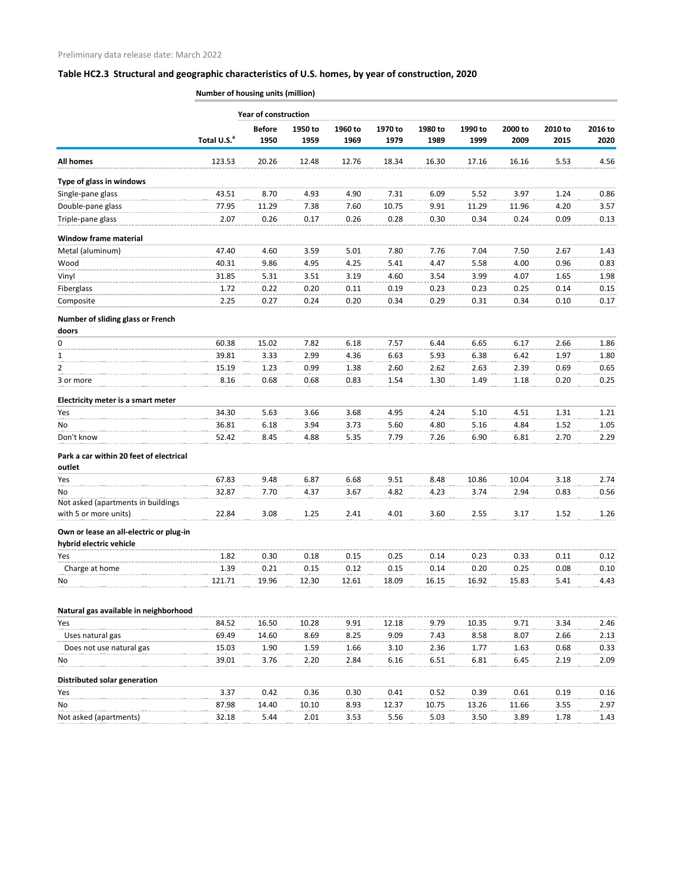|                                                                    | <b>Number of housing units (million)</b> |                             |         |         |         |         |         |         |         |         |
|--------------------------------------------------------------------|------------------------------------------|-----------------------------|---------|---------|---------|---------|---------|---------|---------|---------|
|                                                                    |                                          | <b>Year of construction</b> |         |         |         |         |         |         |         |         |
|                                                                    |                                          | <b>Before</b>               | 1950 to | 1960 to | 1970 to | 1980 to | 1990 to | 2000 to | 2010 to | 2016 to |
|                                                                    | Total U.S. <sup>a</sup>                  | 1950                        | 1959    | 1969    | 1979    | 1989    | 1999    | 2009    | 2015    | 2020    |
| <b>All homes</b>                                                   | 123.53                                   | 20.26                       | 12.48   | 12.76   | 18.34   | 16.30   | 17.16   | 16.16   | 5.53    | 4.56    |
| Type of glass in windows                                           |                                          |                             |         |         |         |         |         |         |         |         |
| Single-pane glass                                                  | 43.51                                    | 8.70                        | 4.93    | 4.90    | 7.31    | 6.09    | 5.52    | 3.97    | 1.24    | 0.86    |
| Double-pane glass                                                  | 77.95                                    | 11.29                       | 7.38    | 7.60    | 10.75   | 9.91    | 11.29   | 11.96   | 4.20    | 3.57    |
| Triple-pane glass                                                  | 2.07                                     | 0.26                        | 0.17    | 0.26    | 0.28    | 0.30    | 0.34    | 0.24    | 0.09    | 0.13    |
| <b>Window frame material</b>                                       |                                          |                             |         |         |         |         |         |         |         |         |
| Metal (aluminum)                                                   | 47.40                                    | 4.60                        | 3.59    | 5.01    | 7.80    | 7.76    | 7.04    | 7.50    | 2.67    | 1.43    |
| Wood                                                               | 40.31                                    | 9.86                        | 4.95    | 4.25    | 5.41    | 4.47    | 5.58    | 4.00    | 0.96    | 0.83    |
| Vinyl                                                              | 31.85                                    | 5.31                        | 3.51    | 3.19    | 4.60    | 3.54    | 3.99    | 4.07    | 1.65    | 1.98    |
| Fiberglass                                                         | 1.72                                     | 0.22                        | 0.20    | 0.11    | 0.19    | 0.23    | 0.23    | 0.25    | 0.14    | 0.15    |
| Composite                                                          | 2.25                                     | 0.27                        | 0.24    | 0.20    | 0.34    | 0.29    | 0.31    | 0.34    | 0.10    | 0.17    |
| Number of sliding glass or French<br>doors                         |                                          |                             |         |         |         |         |         |         |         |         |
| 0                                                                  | 60.38                                    | 15.02                       | 7.82    | 6.18    | 7.57    | 6.44    | 6.65    | 6.17    | 2.66    | 1.86    |
| 1                                                                  | 39.81                                    | 3.33                        | 2.99    | 4.36    | 6.63    | 5.93    | 6.38    | 6.42    | 1.97    | 1.80    |
| 2                                                                  | 15.19                                    | 1.23                        | 0.99    | 1.38    | 2.60    | 2.62    | 2.63    | 2.39    | 0.69    | 0.65    |
| 3 or more                                                          | 8.16                                     | 0.68                        | 0.68    | 0.83    | 1.54    | 1.30    | 1.49    | 1.18    | 0.20    | 0.25    |
| Electricity meter is a smart meter                                 |                                          |                             |         |         |         |         |         |         |         |         |
| Yes                                                                | 34.30                                    | 5.63                        | 3.66    | 3.68    | 4.95    | 4.24    | 5.10    | 4.51    | 1.31    | 1.21    |
| No                                                                 | 36.81                                    | 6.18                        | 3.94    | 3.73    | 5.60    | 4.80    | 5.16    | 4.84    | 1.52    | 1.05    |
| Don't know                                                         | 52.42                                    | 8.45                        | 4.88    | 5.35    | 7.79    | 7.26    | 6.90    | 6.81    | 2.70    | 2.29    |
| Park a car within 20 feet of electrical<br>outlet                  |                                          |                             |         |         |         |         |         |         |         |         |
| Yes                                                                | 67.83                                    | 9.48                        | 6.87    | 6.68    | 9.51    | 8.48    | 10.86   | 10.04   | 3.18    | 2.74    |
| No                                                                 | 32.87                                    | 7.70                        | 4.37    | 3.67    | 4.82    | 4.23    | 3.74    | 2.94    | 0.83    | 0.56    |
| Not asked (apartments in buildings                                 |                                          |                             |         |         |         |         |         |         |         |         |
| with 5 or more units)                                              | 22.84                                    | 3.08                        | 1.25    | 2.41    | 4.01    | 3.60    | 2.55    | 3.17    | 1.52    | 1.26    |
| Own or lease an all-electric or plug-in<br>hybrid electric vehicle |                                          |                             |         |         |         |         |         |         |         |         |
| Yes                                                                | 1.82                                     | 0.30                        | 0.18    | 0.15    | 0.25    | 0.14    | 0.23    | 0.33    | 0.11    | 0.12    |
| Charge at home                                                     | 1.39                                     | 0.21                        | 0.15    | 0.12    | 0.15    | 0.14    | 0.20    | 0.25    | 0.08    | 0.10    |
| No                                                                 | 121.71                                   | 19.96                       | 12.30   | 12.61   | 18.09   | 16.15   | 16.92   | 15.83   | 5.41    | 4.43    |
| Natural gas available in neighborhood                              |                                          |                             |         |         |         |         |         |         |         |         |
| Yes                                                                | 84.52                                    | 16.50                       | 10.28   | 9.91    | 12.18   | 9.79    | 10.35   | 9.71    | 3.34    | 2.46    |
| Uses natural gas                                                   | 69.49                                    | 14.60                       | 8.69    | 8.25    | 9.09    | 7.43    | 8.58    | 8.07    | 2.66    | 2.13    |
| Does not use natural gas                                           | 15.03                                    | 1.90                        | 1.59    | 1.66    | 3.10    | 2.36    | 1.77    | 1.63    | 0.68    | 0.33    |
| No                                                                 | 39.01                                    | 3.76                        | 2.20    | 2.84    | 6.16    | 6.51    | 6.81    | 6.45    | 2.19    | 2.09    |
| <b>Distributed solar generation</b>                                |                                          |                             |         |         |         |         |         |         |         |         |
| Yes                                                                | 3.37                                     | 0.42                        | 0.36    | 0.30    | 0.41    | 0.52    | 0.39    | 0.61    | 0.19    | 0.16    |
| No                                                                 | 87.98                                    | 14.40                       | 10.10   | 8.93    | 12.37   | 10.75   | 13.26   | 11.66   | 3.55    | 2.97    |
| Not asked (apartments)                                             | 32.18                                    | 5.44                        | 2.01    | 3.53    | 5.56    | 5.03    | 3.50    | 3.89    | 1.78    | 1.43    |
|                                                                    |                                          |                             |         |         |         |         |         |         |         |         |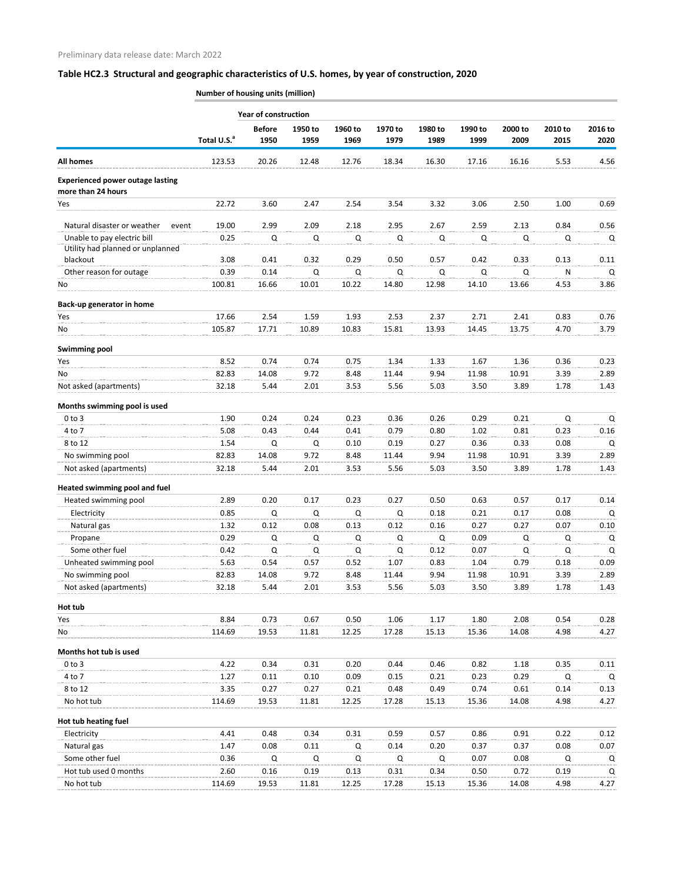**Number of housing units (million)**

|                                                               | <b>Year of construction</b> |               |              |              |              |              |              |              |                                                                                                                                                                                                                                                            |           |
|---------------------------------------------------------------|-----------------------------|---------------|--------------|--------------|--------------|--------------|--------------|--------------|------------------------------------------------------------------------------------------------------------------------------------------------------------------------------------------------------------------------------------------------------------|-----------|
|                                                               |                             | <b>Before</b> | 1950 to      | 1960 to      | 1970 to      | 1980 to      | 1990 to      | 2000 to      | 2010 to                                                                                                                                                                                                                                                    | 2016 to   |
|                                                               | Total U.S. <sup>a</sup>     | 1950          | 1959         | 1969         | 1979         | 1989         | 1999         | 2009         | 2015<br>5.53<br>1.00<br>0.84<br>Q<br>0.13<br>N<br>4.53<br>0.83<br>4.70<br>0.36<br>3.39<br>1.78<br>Q<br>0.23<br>0.08<br>3.39<br>1.78<br>0.17<br>0.08<br>0.07<br>Q<br>Q<br>0.18<br>3.39<br>1.78<br>0.54<br>4.98<br>0.35<br>Q<br>0.14<br>4.98<br>0.22<br>0.08 | 2020      |
| <b>All homes</b>                                              | 123.53                      | 20.26         | 12.48        | 12.76        | 18.34        | 16.30        | 17.16        | 16.16        |                                                                                                                                                                                                                                                            | 4.56      |
| <b>Experienced power outage lasting</b><br>more than 24 hours |                             |               |              |              |              |              |              |              |                                                                                                                                                                                                                                                            |           |
| Yes                                                           | 22.72                       | 3.60          | 2.47         | 2.54         | 3.54         | 3.32         | 3.06         | 2.50         |                                                                                                                                                                                                                                                            | 0.69      |
|                                                               |                             |               |              |              |              |              |              |              |                                                                                                                                                                                                                                                            |           |
| Natural disaster or weather<br>event                          | 19.00                       | 2.99          | 2.09         | 2.18         | 2.95         | 2.67         | 2.59         | 2.13         |                                                                                                                                                                                                                                                            | 0.56      |
| Unable to pay electric bill                                   | 0.25                        | Q             | Q            | Q            | Q            | Q            | Q            | Q            |                                                                                                                                                                                                                                                            | Q         |
| Utility had planned or unplanned<br>blackout                  | 3.08                        | 0.41          | 0.32         | 0.29         | 0.50         | 0.57         | 0.42         | 0.33         |                                                                                                                                                                                                                                                            | 0.11      |
| Other reason for outage                                       | 0.39                        | 0.14          | Q            | Q            | Q            | Q            | Q            | Q            |                                                                                                                                                                                                                                                            | Q         |
| No                                                            | 100.81                      | 16.66         | 10.01        | 10.22        | 14.80        | 12.98        | 14.10        | 13.66        |                                                                                                                                                                                                                                                            | 3.86      |
|                                                               |                             |               |              |              |              |              |              |              |                                                                                                                                                                                                                                                            |           |
| Back-up generator in home                                     |                             |               |              |              |              |              |              |              |                                                                                                                                                                                                                                                            |           |
| Yes                                                           | 17.66                       | 2.54          | 1.59         | 1.93         | 2.53         | 2.37         | 2.71         | 2.41         |                                                                                                                                                                                                                                                            | 0.76      |
| No                                                            | 105.87                      | 17.71         | 10.89        | 10.83        | 15.81        | 13.93        | 14.45        | 13.75        |                                                                                                                                                                                                                                                            | 3.79      |
| <b>Swimming pool</b>                                          |                             |               |              |              |              |              |              |              |                                                                                                                                                                                                                                                            |           |
| Yes                                                           | 8.52                        | 0.74          | 0.74         | 0.75         | 1.34         | 1.33         | 1.67         | 1.36         |                                                                                                                                                                                                                                                            | 0.23      |
| No                                                            | 82.83                       | 14.08         | 9.72         | 8.48         | 11.44        | 9.94         | 11.98        | 10.91        |                                                                                                                                                                                                                                                            | 2.89      |
| Not asked (apartments)                                        | 32.18                       | 5.44          | 2.01         | 3.53         | 5.56         | 5.03         | 3.50         | 3.89         |                                                                                                                                                                                                                                                            | 1.43      |
|                                                               |                             |               |              |              |              |              |              |              |                                                                                                                                                                                                                                                            |           |
| Months swimming pool is used                                  |                             |               |              |              |              |              |              |              |                                                                                                                                                                                                                                                            |           |
| $0$ to $3$<br>4 to 7                                          | 1.90                        | 0.24          | 0.24<br>0.44 | 0.23<br>0.41 | 0.36<br>0.79 | 0.26         | 0.29         | 0.21         |                                                                                                                                                                                                                                                            | Q<br>0.16 |
| 8 to 12                                                       | 5.08<br>1.54                | 0.43<br>Q     | Q            | 0.10         | 0.19         | 0.80<br>0.27 | 1.02<br>0.36 | 0.81<br>0.33 |                                                                                                                                                                                                                                                            |           |
| No swimming pool                                              | 82.83                       | 14.08         | 9.72         | 8.48         | 11.44        | 9.94         | 11.98        | 10.91        |                                                                                                                                                                                                                                                            | Q<br>2.89 |
| Not asked (apartments)                                        | 32.18                       | 5.44          | 2.01         | 3.53         | 5.56         | 5.03         | 3.50         | 3.89         |                                                                                                                                                                                                                                                            | 1.43      |
|                                                               |                             |               |              |              |              |              |              |              |                                                                                                                                                                                                                                                            |           |
| Heated swimming pool and fuel                                 |                             |               |              |              |              |              |              |              |                                                                                                                                                                                                                                                            |           |
| Heated swimming pool                                          | 2.89                        | 0.20          | 0.17         | 0.23         | 0.27         | 0.50         | 0.63         | 0.57         |                                                                                                                                                                                                                                                            | 0.14      |
| Electricity                                                   | 0.85                        | Q             | Q            | Q            | Q            | 0.18         | 0.21         | 0.17         |                                                                                                                                                                                                                                                            | Q         |
| Natural gas                                                   | 1.32                        | 0.12          | 0.08         | 0.13         | 0.12         | 0.16         | 0.27         | 0.27         |                                                                                                                                                                                                                                                            | 0.10      |
| Propane                                                       | 0.29                        | Q             | Q            | Q            | Q            | Q            | 0.09         | Q            |                                                                                                                                                                                                                                                            | Q         |
| Some other fuel                                               | 0.42                        | $\mathsf Q$   | Q            | Q            | Q            | 0.12         | 0.07         | Q            |                                                                                                                                                                                                                                                            | Q         |
| Unheated swimming pool                                        | 5.63                        | 0.54          | 0.57         | 0.52         | 1.07         | 0.83         | 1.04         | 0.79         |                                                                                                                                                                                                                                                            | 0.09      |
| No swimming pool                                              | 82.83                       | 14.08         | 9.72         | 8.48         | 11.44        | 9.94         | 11.98        | 10.91        |                                                                                                                                                                                                                                                            | 2.89      |
| Not asked (apartments)                                        | 32.18                       | 5.44          | 2.01         | 3.53         | 5.56         | 5.03         | 3.50         | 3.89         |                                                                                                                                                                                                                                                            | 1.43      |
| Hot tub                                                       |                             |               |              |              |              |              |              |              |                                                                                                                                                                                                                                                            |           |
| Yes                                                           | 8.84                        | 0.73          | 0.67         | 0.50         | 1.06         | 1.17         | 1.80         | 2.08         |                                                                                                                                                                                                                                                            | 0.28      |
| No                                                            | 114.69                      | 19.53         | 11.81        | 12.25        | 17.28        | 15.13        | 15.36        | 14.08        |                                                                                                                                                                                                                                                            | 4.27      |
|                                                               |                             |               |              |              |              |              |              |              |                                                                                                                                                                                                                                                            |           |
| Months hot tub is used                                        |                             |               |              |              |              |              |              |              |                                                                                                                                                                                                                                                            |           |
| $0$ to $3$                                                    | 4.22                        | 0.34          | 0.31         | 0.20<br>0.09 | 0.44         | 0.46         | 0.82         | 1.18         |                                                                                                                                                                                                                                                            | 0.11      |
| 4 to 7<br>8 to 12                                             | 1.27<br>3.35                | 0.11<br>0.27  | 0.10<br>0.27 | 0.21         | 0.15<br>0.48 | 0.21<br>0.49 | 0.23<br>0.74 | 0.29<br>0.61 |                                                                                                                                                                                                                                                            | Q<br>0.13 |
| No hot tub                                                    | 114.69                      | 19.53         | 11.81        | 12.25        | 17.28        | 15.13        | 15.36        | 14.08        |                                                                                                                                                                                                                                                            | 4.27      |
|                                                               |                             |               |              |              |              |              |              |              |                                                                                                                                                                                                                                                            |           |
| Hot tub heating fuel                                          |                             |               |              |              |              |              |              |              |                                                                                                                                                                                                                                                            |           |
| Electricity                                                   | 4.41                        | 0.48          | 0.34         | 0.31         | 0.59         | 0.57         | 0.86         | 0.91         |                                                                                                                                                                                                                                                            | 0.12      |
| Natural gas                                                   | 1.47                        | 0.08          | 0.11         | Q            | 0.14         | 0.20         | 0.37         | 0.37         |                                                                                                                                                                                                                                                            | 0.07      |
| Some other fuel                                               | 0.36                        | Q             | Q            | Q            | Q            | Q            | 0.07         | 0.08         | Q                                                                                                                                                                                                                                                          | Q         |
| Hot tub used 0 months                                         | 2.60                        | 0.16          | 0.19         | 0.13         | 0.31         | 0.34         | 0.50         | 0.72         | 0.19                                                                                                                                                                                                                                                       | Q         |
| No hot tub                                                    | 114.69                      | 19.53         | 11.81        | 12.25        | 17.28        | 15.13        | 15.36        | 14.08        | 4.98                                                                                                                                                                                                                                                       | 4.27      |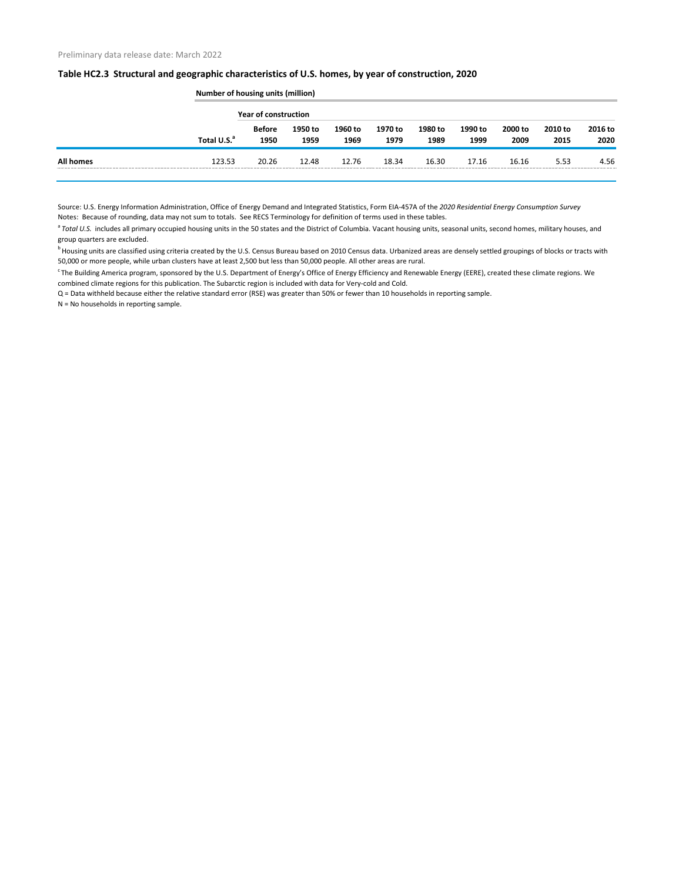|                  |                         | Number of housing units (million) |                 |                 |                 |                 |                 |                 |                 |                 |  |  |  |  |  |
|------------------|-------------------------|-----------------------------------|-----------------|-----------------|-----------------|-----------------|-----------------|-----------------|-----------------|-----------------|--|--|--|--|--|
|                  |                         | <b>Year of construction</b>       |                 |                 |                 |                 |                 |                 |                 |                 |  |  |  |  |  |
|                  | Total U.S. <sup>a</sup> | <b>Before</b><br>1950             | 1950 to<br>1959 | 1960 to<br>1969 | 1970 to<br>1979 | 1980 to<br>1989 | 1990 to<br>1999 | 2000 to<br>2009 | 2010 to<br>2015 | 2016 to<br>2020 |  |  |  |  |  |
| <b>All homes</b> | 123.53                  | 20.26                             | 12.48           | 12.76           | 18.34           | 16.30           | 17.16           | 16.16           | 5.53            | 4.56            |  |  |  |  |  |
|                  |                         |                                   |                 |                 |                 |                 |                 |                 |                 |                 |  |  |  |  |  |

Source: U.S. Energy Information Administration, Office of Energy Demand and Integrated Statistics, Form EIA-457A of the *2020 Residential Energy Consumption Survey* Notes: Because of rounding, data may not sum to totals. See RECS Terminology for definition of terms used in these tables.

<sup>a</sup> Total U.S. includes all primary occupied housing units in the 50 states and the District of Columbia. Vacant housing units, seasonal units, second homes, military houses, and group quarters are excluded.

<sup>b</sup> Housing units are classified using criteria created by the U.S. Census Bureau based on 2010 Census data. Urbanized areas are densely settled groupings of blocks or tracts with 50,000 or more people, while urban clusters have at least 2,500 but less than 50,000 people. All other areas are rural.

<sup>c</sup> The Building America program, sponsored by the U.S. Department of Energy's Office of Energy Efficiency and Renewable Energy (EERE), created these climate regions. We combined climate regions for this publication. The Subarctic region is included with data for Very-cold and Cold.

Q = Data withheld because either the relative standard error (RSE) was greater than 50% or fewer than 10 households in reporting sample.

N = No households in reporting sample.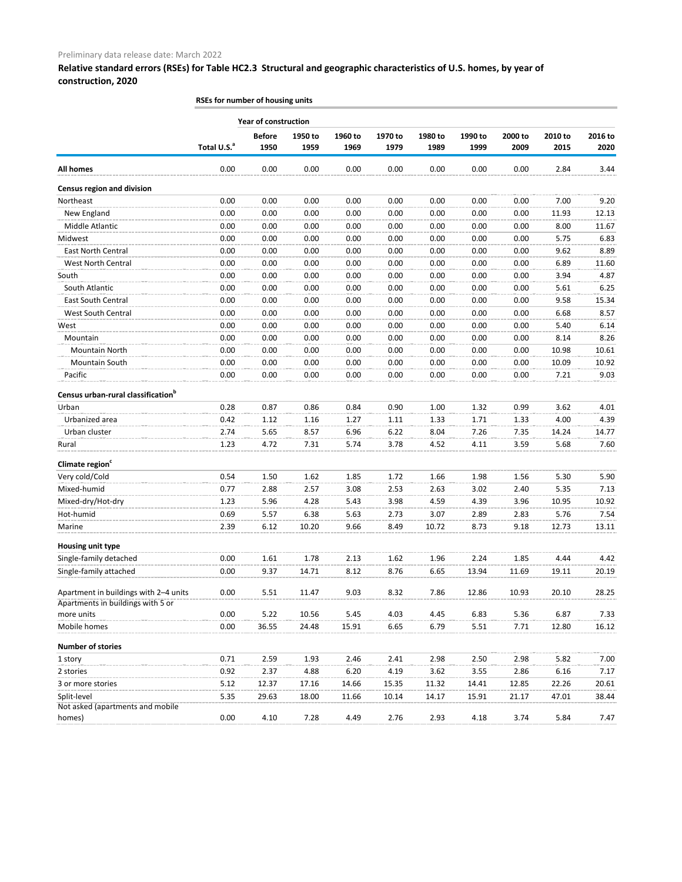|                                                 | RSEs for number of housing units |                             |                 |                 |                 |                 |                 |                 |                 |                 |
|-------------------------------------------------|----------------------------------|-----------------------------|-----------------|-----------------|-----------------|-----------------|-----------------|-----------------|-----------------|-----------------|
|                                                 |                                  | <b>Year of construction</b> |                 |                 |                 |                 |                 |                 |                 |                 |
|                                                 | Total U.S. <sup>a</sup>          | <b>Before</b><br>1950       | 1950 to<br>1959 | 1960 to<br>1969 | 1970 to<br>1979 | 1980 to<br>1989 | 1990 to<br>1999 | 2000 to<br>2009 | 2010 to<br>2015 | 2016 to<br>2020 |
| <b>All homes</b>                                | 0.00                             | 0.00                        | 0.00            | 0.00            | 0.00            | 0.00            | 0.00            | 0.00            | 2.84            | 3.44            |
| <b>Census region and division</b>               |                                  |                             |                 |                 |                 |                 |                 |                 |                 |                 |
| Northeast                                       | 0.00                             | 0.00                        | 0.00            | 0.00            | 0.00            | 0.00            | 0.00            | 0.00            | 7.00            | 9.20            |
| New England                                     | 0.00                             | 0.00                        | 0.00            | 0.00            | 0.00            | 0.00            | 0.00            | 0.00            | 11.93           | 12.13           |
| Middle Atlantic                                 | 0.00                             | 0.00                        | 0.00            | 0.00            | 0.00            | 0.00            | 0.00            | 0.00            | 8.00            | 11.67           |
| Midwest                                         | 0.00                             | 0.00                        | 0.00            | 0.00            | 0.00            | 0.00            | 0.00            | 0.00            | 5.75            | 6.83            |
| <b>East North Central</b>                       | 0.00                             | 0.00                        | 0.00            | 0.00            | 0.00            | 0.00            | 0.00            | 0.00            | 9.62            | 8.89            |
| West North Central                              | 0.00                             | 0.00                        | 0.00            | 0.00            | 0.00            | 0.00            | 0.00            | 0.00            | 6.89            | 11.60           |
| South                                           | 0.00                             | 0.00                        | 0.00            | 0.00            | 0.00            | 0.00            | 0.00            | 0.00            | 3.94            | 4.87            |
| South Atlantic                                  | 0.00                             | 0.00                        | 0.00            | 0.00            | 0.00            | 0.00            | 0.00            | 0.00            | 5.61            | 6.25            |
| <b>East South Central</b>                       | 0.00                             | 0.00                        | 0.00            | 0.00            | 0.00            | 0.00            | 0.00            | 0.00            | 9.58            | 15.34           |
| West South Central                              | 0.00                             | 0.00                        | 0.00            | 0.00            | 0.00            | 0.00            | 0.00            | 0.00            | 6.68            | 8.57            |
| West                                            | 0.00                             | 0.00                        | 0.00            | 0.00            | 0.00            | 0.00            | 0.00            | 0.00            | 5.40            | 6.14            |
| Mountain                                        | 0.00                             | 0.00                        | 0.00            | 0.00            | 0.00            | 0.00            | 0.00            | 0.00            | 8.14            | 8.26            |
| Mountain North                                  | 0.00                             | 0.00                        | 0.00            | 0.00            | 0.00            | 0.00            | 0.00            | 0.00            | 10.98           | 10.61           |
| Mountain South                                  | 0.00                             | 0.00                        | 0.00            | 0.00            | 0.00            | 0.00            | 0.00            | 0.00            | 10.09           | 10.92           |
| Pacific                                         | 0.00                             | 0.00                        | 0.00            | 0.00            | 0.00            | 0.00            | 0.00            | 0.00            | 7.21            | 9.03            |
| Census urban-rural classification <sup>b</sup>  |                                  |                             |                 |                 |                 |                 |                 |                 |                 |                 |
| Urban                                           | 0.28                             | 0.87                        | 0.86            | 0.84            | 0.90            | 1.00            | 1.32            | 0.99            | 3.62            | 4.01            |
| Urbanized area                                  | 0.42                             | 1.12                        | 1.16            | 1.27            | 1.11            | 1.33            | 1.71            | 1.33            | 4.00            | 4.39            |
| Urban cluster                                   | 2.74                             | 5.65                        | 8.57            | 6.96            | 6.22            | 8.04            | 7.26            | 7.35            | 14.24           | 14.77           |
| Rural                                           | 1.23                             | 4.72                        | 7.31            | 5.74            | 3.78            | 4.52            | 4.11            | 3.59            | 5.68            | 7.60            |
| Climate region <sup>c</sup>                     |                                  |                             |                 |                 |                 |                 |                 |                 |                 |                 |
| Very cold/Cold                                  | 0.54                             | 1.50                        | 1.62            | 1.85            | 1.72            | 1.66            | 1.98            | 1.56            | 5.30            | 5.90            |
| Mixed-humid                                     | 0.77                             | 2.88                        | 2.57            | 3.08            | 2.53            | 2.63            | 3.02            | 2.40            | 5.35            | 7.13            |
| Mixed-dry/Hot-dry                               | 1.23                             | 5.96                        | 4.28            | 5.43            | 3.98            | 4.59            | 4.39            | 3.96            | 10.95           | 10.92           |
| Hot-humid                                       | 0.69                             | 5.57                        | 6.38            | 5.63            | 2.73            | 3.07            | 2.89            | 2.83            | 5.76            | 7.54            |
| Marine                                          | 2.39                             | 6.12                        | 10.20           | 9.66            | 8.49            | 10.72           | 8.73            | 9.18            | 12.73           | 13.11           |
| Housing unit type                               |                                  |                             |                 |                 |                 |                 |                 |                 |                 |                 |
| Single-family detached                          | 0.00                             | 1.61                        | 1.78            | 2.13            | 1.62            | 1.96            | 2.24            | 1.85            | 4.44            | 4.42            |
| Single-family attached                          | 0.00                             | 9.37                        | 14.71           | 8.12            | 8.76            | 6.65            | 13.94           | 11.69           | 19.11           | 20.19           |
| Apartment in buildings with 2-4 units           | 0.00                             | 5.51                        | 11.47           | 9.03            | 8.32            | 7.86            | 12.86           | 10.93           | 20.10           | 28.25           |
| Apartments in buildings with 5 or<br>more units | 0.00                             | 5.22                        | 10.56           | 5.45            | 4.03            | 4.45            | 6.83            | 5.36            | 6.87            | 7.33            |
| Mobile homes                                    | 0.00                             | 36.55                       | 24.48           | 15.91           | 6.65            | 6.79            | 5.51            | 7.71            | 12.80           | 16.12           |
|                                                 |                                  |                             |                 |                 |                 |                 |                 |                 |                 |                 |
| <b>Number of stories</b>                        | 0.71                             | 2.59                        | 1.93            | 2.46            | 2.41            | 2.98            | 2.50            | 2.98            | 5.82            | 7.00            |
| 1 story<br>2 stories                            | 0.92                             | 2.37                        | 4.88            | 6.20            |                 |                 | 3.55            | 2.86            | 6.16            | 7.17            |
| 3 or more stories                               | 5.12                             | 12.37                       | 17.16           | 14.66           | 4.19<br>15.35   | 3.62<br>11.32   | 14.41           | 12.85           | 22.26           | 20.61           |
| Split-level                                     | 5.35                             | 29.63                       | 18.00           | 11.66           | 10.14           | 14.17           | 15.91           | 21.17           | 47.01           | 38.44           |
| Not asked (apartments and mobile                |                                  |                             |                 |                 |                 |                 |                 |                 |                 |                 |
| homes)                                          | 0.00                             | 4.10                        | 7.28            | 4.49            | 2.76            | 2.93            | 4.18            | 3.74            | 5.84            | 7.47            |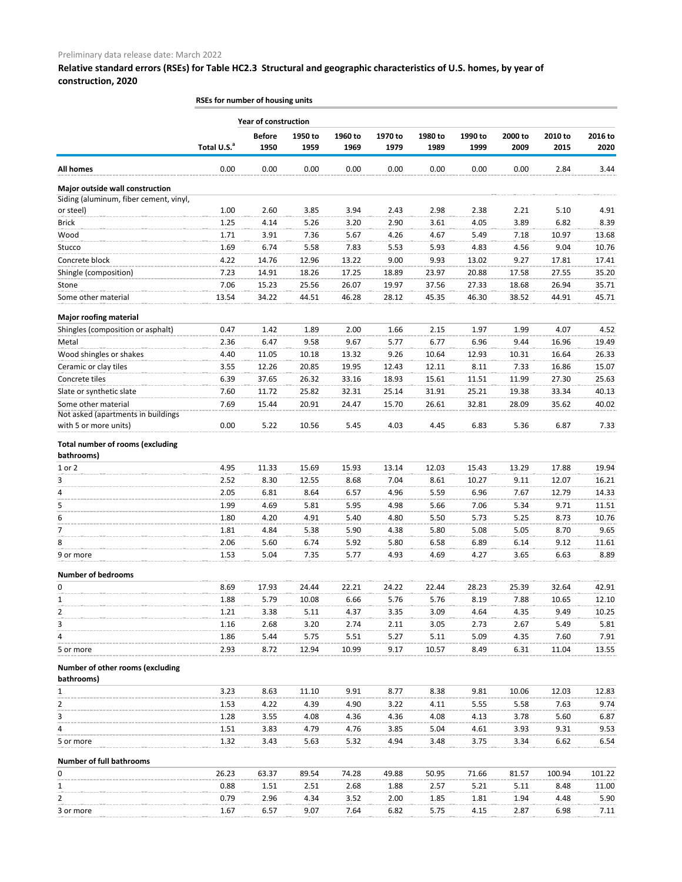|                                                           | RSEs for number of housing units |                             |                 |                 |                 |                 |                 |                 |                 |                 |
|-----------------------------------------------------------|----------------------------------|-----------------------------|-----------------|-----------------|-----------------|-----------------|-----------------|-----------------|-----------------|-----------------|
|                                                           |                                  | <b>Year of construction</b> |                 |                 |                 |                 |                 |                 |                 |                 |
|                                                           | Total U.S. <sup>a</sup>          | <b>Before</b><br>1950       | 1950 to<br>1959 | 1960 to<br>1969 | 1970 to<br>1979 | 1980 to<br>1989 | 1990 to<br>1999 | 2000 to<br>2009 | 2010 to<br>2015 | 2016 to<br>2020 |
| <b>All homes</b>                                          | 0.00                             | 0.00                        | 0.00            | 0.00            | 0.00            | 0.00            | 0.00            | 0.00            | 2.84            | 3.44            |
| Major outside wall construction                           |                                  |                             |                 |                 |                 |                 |                 |                 |                 |                 |
| Siding (aluminum, fiber cement, vinyl,                    |                                  |                             |                 |                 |                 |                 |                 |                 |                 |                 |
| or steel)                                                 | 1.00                             | 2.60                        | 3.85            | 3.94            | 2.43            | 2.98            | 2.38            | 2.21            | 5.10            | 4.91            |
| <b>Brick</b>                                              | 1.25                             | 4.14                        | 5.26            | 3.20            | 2.90            | 3.61            | 4.05            | 3.89            | 6.82            | 8.39            |
| Wood                                                      | 1.71                             | 3.91                        | 7.36            | 5.67            | 4.26            | 4.67            | 5.49            | 7.18            | 10.97           | 13.68           |
| Stucco                                                    | 1.69                             | 6.74                        | 5.58            | 7.83            | 5.53            | 5.93            | 4.83            | 4.56            | 9.04            | 10.76           |
| Concrete block                                            | 4.22                             | 14.76                       | 12.96           | 13.22           | 9.00            | 9.93            | 13.02           | 9.27            | 17.81           | 17.41           |
| Shingle (composition)                                     | 7.23                             | 14.91                       | 18.26           | 17.25           | 18.89           | 23.97           | 20.88           | 17.58           | 27.55           | 35.20           |
| Stone                                                     | 7.06                             | 15.23                       | 25.56           | 26.07           | 19.97           | 37.56           | 27.33           | 18.68           | 26.94           | 35.71           |
| Some other material                                       | 13.54                            | 34.22                       | 44.51           | 46.28           | 28.12           | 45.35           | 46.30           | 38.52           | 44.91           | 45.71           |
| <b>Major roofing material</b>                             |                                  |                             |                 |                 |                 |                 |                 |                 |                 |                 |
| Shingles (composition or asphalt)                         | 0.47                             | 1.42                        | 1.89            | 2.00            | 1.66            | 2.15            | 1.97            | 1.99            | 4.07            | 4.52            |
| Metal                                                     | 2.36                             | 6.47                        | 9.58            | 9.67            | 5.77            | 6.77            | 6.96            | 9.44            | 16.96           | 19.49           |
| Wood shingles or shakes                                   | 4.40                             | 11.05                       | 10.18           | 13.32           | 9.26            | 10.64           | 12.93           | 10.31           | 16.64           | 26.33           |
| Ceramic or clay tiles                                     | 3.55                             | 12.26                       | 20.85           | 19.95           | 12.43           | 12.11           | 8.11            | 7.33            | 16.86           | 15.07           |
| Concrete tiles                                            | 6.39                             | 37.65                       | 26.32           | 33.16           | 18.93           | 15.61           | 11.51           | 11.99           | 27.30           | 25.63           |
| Slate or synthetic slate                                  | 7.60                             | 11.72                       | 25.82           | 32.31           | 25.14           | 31.91           | 25.21           | 19.38           | 33.34           | 40.13           |
| Some other material<br>Not asked (apartments in buildings | 7.69                             | 15.44                       | 20.91           | 24.47           | 15.70           | 26.61           | 32.81           | 28.09           | 35.62           | 40.02           |
| with 5 or more units)                                     | 0.00                             | 5.22                        | 10.56           | 5.45            | 4.03            | 4.45            | 6.83            | 5.36            | 6.87            | 7.33            |
| <b>Total number of rooms (excluding</b><br>bathrooms)     |                                  |                             |                 |                 |                 |                 |                 |                 |                 |                 |
| 1 or 2                                                    | 4.95                             | 11.33                       | 15.69           | 15.93           | 13.14           | 12.03           | 15.43           | 13.29           | 17.88           | 19.94           |
| 3                                                         | 2.52                             | 8.30                        | 12.55           | 8.68            | 7.04            | 8.61            | 10.27           | 9.11            | 12.07           | 16.21           |
| 4                                                         | 2.05                             | 6.81                        | 8.64            | 6.57            | 4.96            | 5.59            | 6.96            | 7.67            | 12.79           | 14.33           |
| 5                                                         | 1.99                             | 4.69                        | 5.81            | 5.95            | 4.98            | 5.66            | 7.06            | 5.34            | 9.71            | 11.51           |
| 6                                                         | 1.80                             | 4.20                        | 4.91            | 5.40            | 4.80            | 5.50            | 5.73            | 5.25            | 8.73            | 10.76           |
| 7                                                         | 1.81                             | 4.84                        | 5.38            | 5.90            | 4.38            | 5.80            | 5.08            | 5.05            | 8.70            | 9.65            |
| 8                                                         | 2.06                             | 5.60                        | 6.74            | 5.92            | 5.80            | 6.58            | 6.89            | 6.14            | 9.12            | 11.61           |
| 9 or more                                                 | 1.53                             | 5.04                        | 7.35            | 5.77            | 4.93            | 4.69            | 4.27            | 3.65            | 6.63            | 8.89            |
| <b>Number of bedrooms</b>                                 |                                  |                             |                 |                 |                 |                 |                 |                 |                 |                 |
| $\Omega$                                                  | 8.69                             | 17.93                       | 24.44           | 22.21           | 24.22           | 22.44           | 28.23           | 25.39           | 32.64           | 42.91           |
| 1                                                         | 1.88                             | 5.79                        | 10.08           | 6.66            | 5.76            | 5.76            | 8.19            | 7.88            | 10.65           | 12.10           |
| 2                                                         | 1.21                             | 3.38                        | 5.11            | 4.37            | 3.35            | 3.09            | 4.64            | 4.35            | 9.49            | 10.25           |
| 3                                                         | 1.16                             | 2.68                        | 3.20            | 2.74            | 2.11            | 3.05            | 2.73            | 2.67            | 5.49            | 5.81            |
| 4                                                         | 1.86                             | 5.44                        | 5.75            | 5.51            | 5.27            | 5.11            | 5.09            | 4.35            | 7.60            | 7.91            |
| 5 or more                                                 | 2.93                             | 8.72                        | 12.94           | 10.99           | 9.17            | 10.57           | 8.49            | 6.31            | 11.04           | 13.55           |
| Number of other rooms (excluding<br>bathrooms)            |                                  |                             |                 |                 |                 |                 |                 |                 |                 |                 |
| 1                                                         | 3.23                             | 8.63                        | 11.10           | 9.91            | 8.77            | 8.38            | 9.81            | 10.06           | 12.03           | 12.83           |
| 2                                                         | 1.53                             | 4.22                        | 4.39            | 4.90            | 3.22            | 4.11            | 5.55            | 5.58            | 7.63            | 9.74            |
| 3                                                         | 1.28                             | 3.55                        | 4.08            | 4.36            | 4.36            | 4.08            | 4.13            | 3.78            | 5.60            | 6.87            |
| 4                                                         | 1.51                             | 3.83                        | 4.79            | 4.76            | 3.85            | 5.04            | 4.61            | 3.93            | 9.31            | 9.53            |
| 5 or more                                                 | 1.32                             | 3.43                        | 5.63            | 5.32            | 4.94            | 3.48            | 3.75            | 3.34            | 6.62            | 6.54            |
| <b>Number of full bathrooms</b>                           |                                  |                             |                 |                 |                 |                 |                 |                 |                 |                 |
| 0                                                         | 26.23                            | 63.37                       | 89.54           | 74.28           | 49.88           | 50.95           | 71.66           | 81.57           | 100.94          | 101.22          |
| 1                                                         | 0.88                             | 1.51                        | 2.51            | 2.68            | 1.88            | 2.57            | 5.21            | 5.11            | 8.48            | 11.00           |
| 2                                                         | 0.79                             | 2.96                        | 4.34            | 3.52            | 2.00            | 1.85            | 1.81            | 1.94            | 4.48            | 5.90            |
| 3 or more                                                 | 1.67                             | 6.57                        | 9.07            | 7.64            | 6.82            | 5.75            | 4.15            | 2.87            | 6.98            | 7.11            |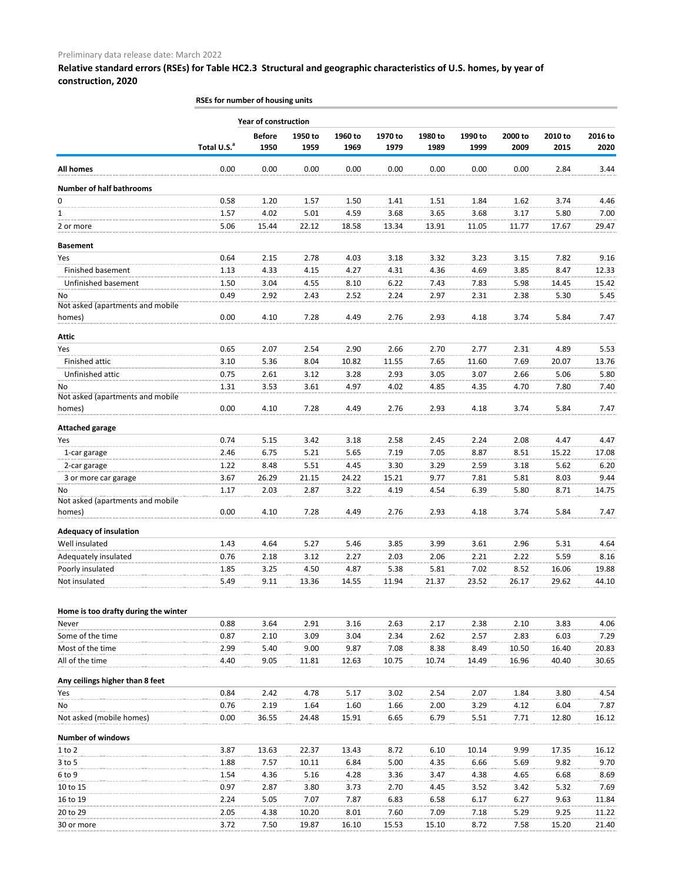|                                      | RSEs for number of housing units |                       |                 |                 |                 |                 |                 |                 |                 |                 |
|--------------------------------------|----------------------------------|-----------------------|-----------------|-----------------|-----------------|-----------------|-----------------|-----------------|-----------------|-----------------|
|                                      |                                  | Year of construction  |                 |                 |                 |                 |                 |                 |                 |                 |
|                                      | Total U.S. <sup>a</sup>          | <b>Before</b><br>1950 | 1950 to<br>1959 | 1960 to<br>1969 | 1970 to<br>1979 | 1980 to<br>1989 | 1990 to<br>1999 | 2000 to<br>2009 | 2010 to<br>2015 | 2016 to<br>2020 |
| <b>All homes</b>                     | 0.00                             | 0.00                  | 0.00            | 0.00            | 0.00            | 0.00            | 0.00            | 0.00            | 2.84            | 3.44            |
| <b>Number of half bathrooms</b>      |                                  |                       |                 |                 |                 |                 |                 |                 |                 |                 |
| 0                                    | 0.58                             | 1.20                  | 1.57            | 1.50            | 1.41            | 1.51            | 1.84            | 1.62            | 3.74            | 4.46            |
| 1                                    | 1.57                             | 4.02                  | 5.01            | 4.59            | 3.68            | 3.65            | 3.68            | 3.17            | 5.80            | 7.00            |
| 2 or more                            | 5.06                             | 15.44                 | 22.12           | 18.58           | 13.34           | 13.91           | 11.05           | 11.77           | 17.67           | 29.47           |
| <b>Basement</b>                      |                                  |                       |                 |                 |                 |                 |                 |                 |                 |                 |
| Yes                                  | 0.64                             | 2.15                  | 2.78            | 4.03            | 3.18            | 3.32            | 3.23            | 3.15            | 7.82            | 9.16            |
| Finished basement                    | 1.13                             | 4.33                  | 4.15            | 4.27            | 4.31            | 4.36            | 4.69            | 3.85            | 8.47            | 12.33           |
| Unfinished basement                  | 1.50                             | 3.04                  | 4.55            | 8.10            | 6.22            | 7.43            | 7.83            | 5.98            | 14.45           | 15.42           |
| No                                   | 0.49                             | 2.92                  | 2.43            | 2.52            | 2.24            | 2.97            | 2.31            | 2.38            | 5.30            | 5.45            |
| Not asked (apartments and mobile     |                                  |                       |                 |                 |                 |                 |                 |                 |                 |                 |
| homes)                               | 0.00                             | 4.10                  | 7.28            | 4.49            | 2.76            | 2.93            | 4.18            | 3.74            | 5.84            | 7.47            |
| Attic                                |                                  |                       |                 |                 |                 |                 |                 |                 |                 |                 |
| Yes                                  | 0.65                             | 2.07                  | 2.54            | 2.90            | 2.66            | 2.70            | 2.77            | 2.31            | 4.89            | 5.53            |
| Finished attic                       | 3.10                             | 5.36                  | 8.04            | 10.82           | 11.55           | 7.65            | 11.60           | 7.69            | 20.07           | 13.76           |
| Unfinished attic                     | 0.75                             | 2.61                  | 3.12            | 3.28            | 2.93            | 3.05            | 3.07            | 2.66            | 5.06            | 5.80            |
| No                                   | 1.31                             | 3.53                  | 3.61            | 4.97            | 4.02            | 4.85            | 4.35            | 4.70            | 7.80            | 7.40            |
| Not asked (apartments and mobile     |                                  |                       |                 |                 |                 |                 |                 |                 |                 |                 |
| homes)                               | 0.00                             | 4.10                  | 7.28            | 4.49            | 2.76            | 2.93            | 4.18            | 3.74            | 5.84            | 7.47            |
| <b>Attached garage</b>               |                                  |                       |                 |                 |                 |                 |                 |                 |                 |                 |
| Yes                                  | 0.74                             | 5.15                  | 3.42            | 3.18            | 2.58            | 2.45            | 2.24            | 2.08            | 4.47            | 4.47            |
| 1-car garage                         | 2.46                             | 6.75                  | 5.21            | 5.65            | 7.19            | 7.05            | 8.87            | 8.51            | 15.22           | 17.08           |
| 2-car garage                         | 1.22                             | 8.48                  | 5.51            | 4.45            | 3.30            | 3.29            | 2.59            | 3.18            | 5.62            | 6.20            |
| 3 or more car garage                 | 3.67                             | 26.29                 | 21.15           | 24.22           | 15.21           | 9.77            | 7.81            | 5.81            | 8.03            | 9.44            |
| No.                                  | 1.17                             | 2.03                  | 2.87            | 3.22            | 4.19            | 4.54            | 6.39            | 5.80            | 8.71            | 14.75           |
| Not asked (apartments and mobile     |                                  |                       |                 |                 |                 |                 |                 |                 |                 |                 |
| homes)                               | 0.00                             | 4.10                  | 7.28            | 4.49            | 2.76            | 2.93            | 4.18            | 3.74            | 5.84            | 7.47            |
| <b>Adequacy of insulation</b>        |                                  |                       |                 |                 |                 |                 |                 |                 |                 |                 |
| Well insulated                       | 1.43                             | 4.64                  | 5.27            | 5.46            | 3.85            | 3.99            | 3.61            | 2.96            | 5.31            | 4.64            |
| Adequately insulated                 | 0.76                             | 2.18                  | 3.12            | 2.27            | 2.03            | 2.06            | 2.21            | 2.22            | 5.59            | 8.16            |
| Poorly insulated                     | 1.85                             | 3.25                  | 4.50            | 4.87            | 5.38            | 5.81            | 7.02            | 8.52            | 16.06           | 19.88           |
| Not insulated                        | 5.49                             | 9.11                  | 13.36           | 14.55           | 11.94           | 21.37           | 23.52           | 26.17           | 29.62           | 44.10           |
|                                      |                                  |                       |                 |                 |                 |                 |                 |                 |                 |                 |
| Home is too drafty during the winter |                                  |                       |                 |                 |                 |                 |                 |                 |                 |                 |
| Never                                | 0.88                             | 3.64                  | 2.91            | 3.16            | 2.63            | 2.17            | 2.38            | 2.10            | 3.83            | 4.06            |
| Some of the time                     | 0.87                             | 2.10                  | 3.09            | 3.04            | 2.34            | 2.62            | 2.57            | 2.83            | 6.03            | 7.29            |
| Most of the time                     | 2.99                             | 5.40                  | 9.00            | 9.87            | 7.08            | 8.38            | 8.49            | 10.50           | 16.40           | 20.83           |
| All of the time                      | 4.40                             | 9.05                  | 11.81           | 12.63           | 10.75           | 10.74           | 14.49           | 16.96           | 40.40           | 30.65           |
| Any ceilings higher than 8 feet      |                                  |                       |                 |                 |                 |                 |                 |                 |                 |                 |
| Yes                                  | 0.84                             | 2.42                  | 4.78            | 5.17            | 3.02            | 2.54            | 2.07            | 1.84            | 3.80            | 4.54            |
| No                                   | 0.76                             | 2.19                  | 1.64            | 1.60            | 1.66            | 2.00            | 3.29            | 4.12            | 6.04            | 7.87            |
| Not asked (mobile homes)             | 0.00                             | 36.55                 | 24.48           | 15.91           | 6.65            | 6.79            | 5.51            | 7.71            | 12.80           | 16.12           |
| <b>Number of windows</b>             |                                  |                       |                 |                 |                 |                 |                 |                 |                 |                 |
| $1$ to $2$                           | 3.87                             | 13.63                 | 22.37           | 13.43           | 8.72            | 6.10            | 10.14           | 9.99            | 17.35           | 16.12           |
| $3$ to $5$                           | 1.88                             | 7.57                  | 10.11           | 6.84            | 5.00            | 4.35            | 6.66            | 5.69            | 9.82            | 9.70            |
| 6 to 9                               | 1.54                             | 4.36                  | 5.16            | 4.28            | 3.36            | 3.47            | 4.38            | 4.65            | 6.68            | 8.69            |
| 10 to 15                             | 0.97                             | 2.87                  | 3.80            | 3.73            | 2.70            | 4.45            | 3.52            | 3.42            | 5.32            | 7.69            |
| 16 to 19                             | 2.24                             | 5.05                  | 7.07            | 7.87            | 6.83            | 6.58            | 6.17            | 6.27            | 9.63            | 11.84           |
| 20 to 29                             | 2.05                             | 4.38                  | 10.20           | 8.01            | 7.60            | 7.09            | 7.18            | 5.29            | 9.25            | 11.22           |
| 30 or more                           | 3.72                             | 7.50                  | 19.87           | 16.10           | 15.53           | 15.10           | 8.72            | 7.58            | 15.20           | 21.40           |
|                                      |                                  |                       |                 |                 |                 |                 |                 |                 |                 |                 |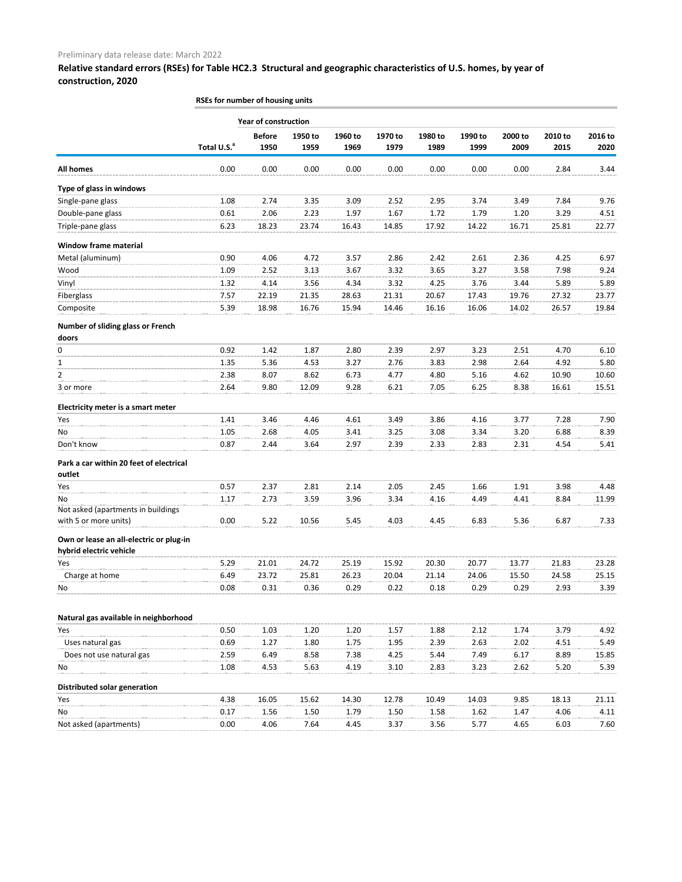|                                                                    | RSEs for number of housing units |                             |                 |                 |                 |                 |                 |                 |                 |                 |
|--------------------------------------------------------------------|----------------------------------|-----------------------------|-----------------|-----------------|-----------------|-----------------|-----------------|-----------------|-----------------|-----------------|
|                                                                    |                                  | <b>Year of construction</b> |                 |                 |                 |                 |                 |                 |                 |                 |
|                                                                    | Total U.S. <sup>a</sup>          | <b>Before</b><br>1950       | 1950 to<br>1959 | 1960 to<br>1969 | 1970 to<br>1979 | 1980 to<br>1989 | 1990 to<br>1999 | 2000 to<br>2009 | 2010 to<br>2015 | 2016 to<br>2020 |
| <b>All homes</b>                                                   | 0.00                             | 0.00                        | 0.00            | 0.00            | 0.00            | 0.00            | 0.00            | 0.00            | 2.84            | 3.44            |
| Type of glass in windows                                           |                                  |                             |                 |                 |                 |                 |                 |                 |                 |                 |
| Single-pane glass                                                  | 1.08                             | 2.74                        | 3.35            | 3.09            | 2.52            | 2.95            | 3.74            | 3.49            | 7.84            | 9.76            |
| Double-pane glass                                                  | 0.61                             | 2.06                        | 2.23            | 1.97            | 1.67            | 1.72            | 1.79            | 1.20            | 3.29            | 4.51            |
| Triple-pane glass                                                  | 6.23                             | 18.23                       | 23.74           | 16.43           | 14.85           | 17.92           | 14.22           | 16.71           | 25.81           | 22.77           |
| <b>Window frame material</b>                                       |                                  |                             |                 |                 |                 |                 |                 |                 |                 |                 |
| Metal (aluminum)                                                   | 0.90                             | 4.06                        | 4.72            | 3.57            | 2.86            | 2.42            | 2.61            | 2.36            | 4.25            | 6.97            |
| Wood                                                               | 1.09                             | 2.52                        | 3.13            | 3.67            | 3.32            | 3.65            | 3.27            | 3.58            | 7.98            | 9.24            |
| Vinyl                                                              | 1.32                             | 4.14                        | 3.56            | 4.34            | 3.32            | 4.25            | 3.76            | 3.44            | 5.89            | 5.89            |
| Fiberglass                                                         | 7.57                             | 22.19                       | 21.35           | 28.63           | 21.31           | 20.67           | 17.43           | 19.76           | 27.32           | 23.77           |
| Composite                                                          | 5.39                             | 18.98                       | 16.76           | 15.94           | 14.46           | 16.16           | 16.06           | 14.02           | 26.57           | 19.84           |
| Number of sliding glass or French<br>doors                         |                                  |                             |                 |                 |                 |                 |                 |                 |                 |                 |
| 0                                                                  | 0.92                             | 1.42                        | 1.87            | 2.80            | 2.39            | 2.97            | 3.23            | 2.51            | 4.70            | 6.10            |
| 1                                                                  | 1.35                             | 5.36                        | 4.53            | 3.27            | 2.76            | 3.83            | 2.98            | 2.64            | 4.92            | 5.80            |
| 2                                                                  | 2.38                             | 8.07                        | 8.62            | 6.73            | 4.77            | 4.80            | 5.16            | 4.62            | 10.90           | 10.60           |
| 3 or more                                                          | 2.64                             | 9.80                        | 12.09           | 9.28            | 6.21            | 7.05            | 6.25            | 8.38            | 16.61           | 15.51           |
| Electricity meter is a smart meter                                 |                                  |                             |                 |                 |                 |                 |                 |                 |                 |                 |
| Yes                                                                | 1.41                             | 3.46                        | 4.46            | 4.61            | 3.49            | 3.86            | 4.16            | 3.77            | 7.28            | 7.90            |
| No                                                                 | 1.05                             | 2.68                        | 4.05            | 3.41            | 3.25            | 3.08            | 3.34            | 3.20            | 6.88            | 8.39            |
| Don't know                                                         | 0.87                             | 2.44                        | 3.64            | 2.97            | 2.39            | 2.33            | 2.83            | 2.31            | 4.54            | 5.41            |
| Park a car within 20 feet of electrical<br>outlet                  |                                  |                             |                 |                 |                 |                 |                 |                 |                 |                 |
| Yes                                                                | 0.57                             | 2.37                        | 2.81            | 2.14            | 2.05            | 2.45            | 1.66            | 1.91            | 3.98            | 4.48            |
| No                                                                 | 1.17                             | 2.73                        | 3.59            | 3.96            | 3.34            | 4.16            | 4.49            | 4.41            | 8.84            | 11.99           |
| Not asked (apartments in buildings<br>with 5 or more units)        | 0.00                             | 5.22                        | 10.56           | 5.45            | 4.03            | 4.45            | 6.83            | 5.36            | 6.87            | 7.33            |
| Own or lease an all-electric or plug-in<br>hybrid electric vehicle |                                  |                             |                 |                 |                 |                 |                 |                 |                 |                 |
| Yes                                                                | 5.29                             | 21.01                       | 24.72           | 25.19           | 15.92           | 20.30           | 20.77           | 13.77           | 21.83           |                 |
|                                                                    | 6.49                             |                             |                 |                 |                 |                 |                 |                 |                 | 23.28           |
| Charge at home<br>No                                               | 0.08                             | 23.72<br>0.31               | 25.81<br>0.36   | 26.23<br>0.29   | 20.04<br>0.22   | 21.14<br>0.18   | 24.06<br>0.29   | 15.50<br>0.29   | 24.58<br>2.93   | 25.15<br>3.39   |
|                                                                    |                                  |                             |                 |                 |                 |                 |                 |                 |                 |                 |
| Natural gas available in neighborhood                              |                                  |                             |                 |                 |                 |                 |                 |                 |                 |                 |
| Yes                                                                | 0.50                             | 1.03                        | 1.20            | 1.20            | 1.57            | 1.88            | 2.12            | 1.74            | 3.79            | 4.92            |
| Uses natural gas                                                   | 0.69                             | 1.27                        | 1.80            | 1.75            | 1.95            | 2.39            | 2.63            | 2.02            | 4.51            | 5.49            |
| Does not use natural gas                                           | 2.59                             | 6.49                        | 8.58            | 7.38            | 4.25            | 5.44            | 7.49            | 6.17            | 8.89            | 15.85           |
| No                                                                 | 1.08                             | 4.53                        | 5.63            | 4.19            | 3.10            | 2.83            | 3.23            | 2.62            | 5.20            | 5.39            |
| <b>Distributed solar generation</b>                                |                                  |                             |                 |                 |                 |                 |                 |                 |                 |                 |
| Yes                                                                | 4.38                             | 16.05                       | 15.62           | 14.30           | 12.78           | 10.49           | 14.03           | 9.85            | 18.13           | 21.11           |
| No                                                                 | 0.17                             | 1.56                        | 1.50            | 1.79            | 1.50            | 1.58            | 1.62            | 1.47            | 4.06            | 4.11            |
| Not asked (apartments)                                             | 0.00                             | 4.06                        | 7.64            | 4.45            | 3.37            | 3.56            | 5.77            | 4.65            | 6.03            | 7.60            |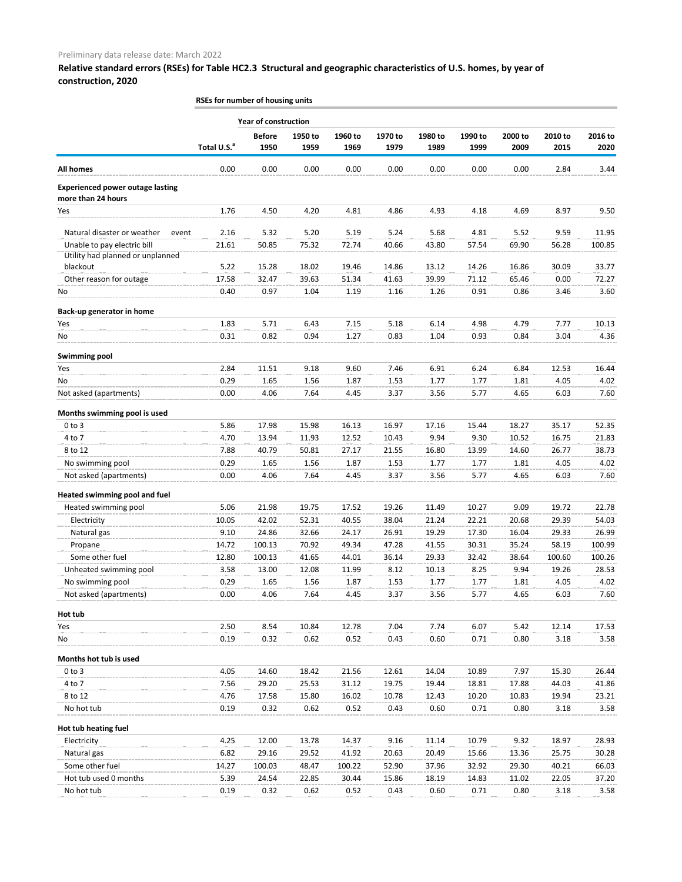# **Relative standard errors (RSEs) for Table HC2.3 Structural and geographic characteristics of U.S. homes, by year of**

## **construction, 2020**

|                                                               | RSEs for number of housing units |                             |                 |                 |                 |                 |                 |                 |                 |                 |  |
|---------------------------------------------------------------|----------------------------------|-----------------------------|-----------------|-----------------|-----------------|-----------------|-----------------|-----------------|-----------------|-----------------|--|
|                                                               |                                  | <b>Year of construction</b> |                 |                 |                 |                 |                 |                 |                 |                 |  |
|                                                               | Total U.S. <sup>a</sup>          | <b>Before</b><br>1950       | 1950 to<br>1959 | 1960 to<br>1969 | 1970 to<br>1979 | 1980 to<br>1989 | 1990 to<br>1999 | 2000 to<br>2009 | 2010 to<br>2015 | 2016 to<br>2020 |  |
| <b>All homes</b>                                              | 0.00                             | 0.00                        | 0.00            | 0.00            | 0.00            | 0.00            | 0.00            | 0.00            | 2.84            | 3.44            |  |
| <b>Experienced power outage lasting</b><br>more than 24 hours |                                  |                             |                 |                 |                 |                 |                 |                 |                 |                 |  |
| Yes                                                           | 1.76                             | 4.50                        | 4.20            | 4.81            | 4.86            | 4.93            | 4.18            | 4.69            | 8.97            | 9.50            |  |
| Natural disaster or weather<br>event                          | 2.16                             | 5.32                        | 5.20            | 5.19            | 5.24            | 5.68            | 4.81            | 5.52            | 9.59            | 11.95           |  |
| Unable to pay electric bill                                   | 21.61                            | 50.85                       | 75.32           | 72.74           | 40.66           | 43.80           | 57.54           | 69.90           | 56.28           | 100.85          |  |
| Utility had planned or unplanned                              |                                  |                             |                 |                 |                 |                 |                 |                 |                 |                 |  |
| blackout                                                      | 5.22                             | 15.28                       | 18.02           | 19.46           | 14.86           | 13.12           | 14.26           | 16.86           | 30.09           | 33.77           |  |
| Other reason for outage                                       | 17.58                            | 32.47                       | 39.63           | 51.34           | 41.63           | 39.99           | 71.12           | 65.46           | 0.00            | 72.27           |  |
| No                                                            | 0.40                             | 0.97                        | 1.04            | 1.19            | 1.16            | 1.26            | 0.91            | 0.86            | 3.46            | 3.60            |  |
| Back-up generator in home                                     |                                  |                             |                 |                 |                 |                 |                 |                 |                 |                 |  |
| Yes                                                           | 1.83                             | 5.71                        | 6.43            | 7.15            | 5.18            | 6.14            | 4.98            | 4.79            | 7.77            | 10.13           |  |
| No                                                            | 0.31                             | 0.82                        | 0.94            | 1.27            | 0.83            | 1.04            | 0.93            | 0.84            | 3.04            | 4.36            |  |
| <b>Swimming pool</b>                                          |                                  |                             |                 |                 |                 |                 |                 |                 |                 |                 |  |
| Yes                                                           | 2.84                             | 11.51                       | 9.18            | 9.60            | 7.46            | 6.91            | 6.24            | 6.84            | 12.53           | 16.44           |  |
| No                                                            | 0.29                             | 1.65                        | 1.56            | 1.87            | 1.53            | 1.77            | 1.77            | 1.81            | 4.05            | 4.02            |  |
| Not asked (apartments)                                        | 0.00                             | 4.06                        | 7.64            | 4.45            | 3.37            | 3.56            | 5.77            | 4.65            | 6.03            | 7.60            |  |
| Months swimming pool is used                                  |                                  |                             |                 |                 |                 |                 |                 |                 |                 |                 |  |
| $0$ to $3$                                                    | 5.86                             | 17.98                       | 15.98           | 16.13           | 16.97           | 17.16           | 15.44           | 18.27           | 35.17           | 52.35           |  |
| 4 to 7                                                        | 4.70                             | 13.94                       | 11.93           | 12.52           | 10.43           | 9.94            | 9.30            | 10.52           | 16.75           | 21.83           |  |
| 8 to 12                                                       | 7.88                             | 40.79                       | 50.81           | 27.17           | 21.55           | 16.80           | 13.99           | 14.60           | 26.77           | 38.73           |  |
| No swimming pool                                              | 0.29                             | 1.65                        | 1.56            | 1.87            | 1.53            | 1.77            | 1.77            | 1.81            | 4.05            | 4.02            |  |
| Not asked (apartments)                                        | 0.00                             | 4.06                        | 7.64            | 4.45            | 3.37            | 3.56            | 5.77            | 4.65            | 6.03            | 7.60            |  |
| <b>Heated swimming pool and fuel</b>                          |                                  |                             |                 |                 |                 |                 |                 |                 |                 |                 |  |
| Heated swimming pool                                          | 5.06                             | 21.98                       | 19.75           | 17.52           | 19.26           | 11.49           | 10.27           | 9.09            | 19.72           | 22.78           |  |
| Electricity                                                   | 10.05                            | 42.02                       | 52.31           | 40.55           | 38.04           | 21.24           | 22.21           | 20.68           | 29.39           | 54.03           |  |
| Natural gas                                                   | 9.10                             | 24.86                       | 32.66           | 24.17           | 26.91           | 19.29           | 17.30           | 16.04           | 29.33           | 26.99           |  |
| Propane                                                       | 14.72                            | 100.13                      | 70.92           | 49.34           | 47.28           | 41.55           | 30.31           | 35.24           | 58.19           | 100.99          |  |
| Some other fuel                                               | 12.80                            | 100.13                      | 41.65           | 44.01           | 36.14           | 29.33           | 32.42           | 38.64           | 100.60          | 100.26          |  |
| Unheated swimming pool                                        | 3.58                             | 13.00                       | 12.08           | 11.99           | 8.12<br>1.53    | 10.13           | 8.25            | 9.94            | 19.26           | 28.53           |  |
| No swimming pool<br>Not asked (apartments)                    | 0.29<br>0.00                     | 1.65<br>4.06                | 1.56<br>7.64    | 1.87<br>4.45    | 3.37            | 1.77<br>3.56    | 1.77<br>5.77    | 1.81<br>4.65    | 4.05<br>6.03    | 4.02<br>7.60    |  |
|                                                               |                                  |                             |                 |                 |                 |                 |                 |                 |                 |                 |  |
| Hot tub<br>Yes                                                | 2.50                             | 8.54                        | 10.84           | 12.78           | 7.04            | 7.74            | 6.07            | 5.42            | 12.14           | 17.53           |  |
| No                                                            | 0.19                             | 0.32                        | 0.62            | 0.52            | 0.43            | 0.60            | 0.71            | 0.80            | 3.18            | 3.58            |  |
| Months hot tub is used                                        |                                  |                             |                 |                 |                 |                 |                 |                 |                 |                 |  |
| $0$ to $3$                                                    | 4.05                             | 14.60                       | 18.42           | 21.56           | 12.61           | 14.04           | 10.89           | 7.97            | 15.30           | 26.44           |  |
| 4 to 7                                                        | 7.56                             | 29.20                       | 25.53           | 31.12           | 19.75           | 19.44           | 18.81           | 17.88           | 44.03           | 41.86           |  |
| 8 to 12                                                       | 4.76                             | 17.58                       | 15.80           | 16.02           | 10.78           | 12.43           | 10.20           | 10.83           | 19.94           | 23.21           |  |
| No hot tub                                                    | 0.19                             | 0.32                        | 0.62            | 0.52            | 0.43            | 0.60            | 0.71            | 0.80            | 3.18            | 3.58            |  |
| Hot tub heating fuel                                          |                                  |                             |                 |                 |                 |                 |                 |                 |                 |                 |  |
| Electricity                                                   | 4.25                             | 12.00                       | 13.78           | 14.37           | 9.16            | 11.14           | 10.79           | 9.32            | 18.97           | 28.93           |  |
| Natural gas                                                   | 6.82                             | 29.16                       | 29.52           | 41.92           | 20.63           | 20.49           | 15.66           | 13.36           | 25.75           | 30.28           |  |
| Some other fuel                                               | 14.27                            | 100.03                      | 48.47           | 100.22          | 52.90           | 37.96           | 32.92           | 29.30           | 40.21           | 66.03           |  |
| Hot tub used 0 months                                         | 5.39                             | 24.54                       | 22.85           | 30.44           | 15.86           | 18.19           | 14.83           | 11.02           | 22.05           | 37.20           |  |
| No hot tub                                                    | 0.19                             | 0.32                        | 0.62            | 0.52            | 0.43            | 0.60            | 0.71            | 0.80            | 3.18            | 3.58            |  |